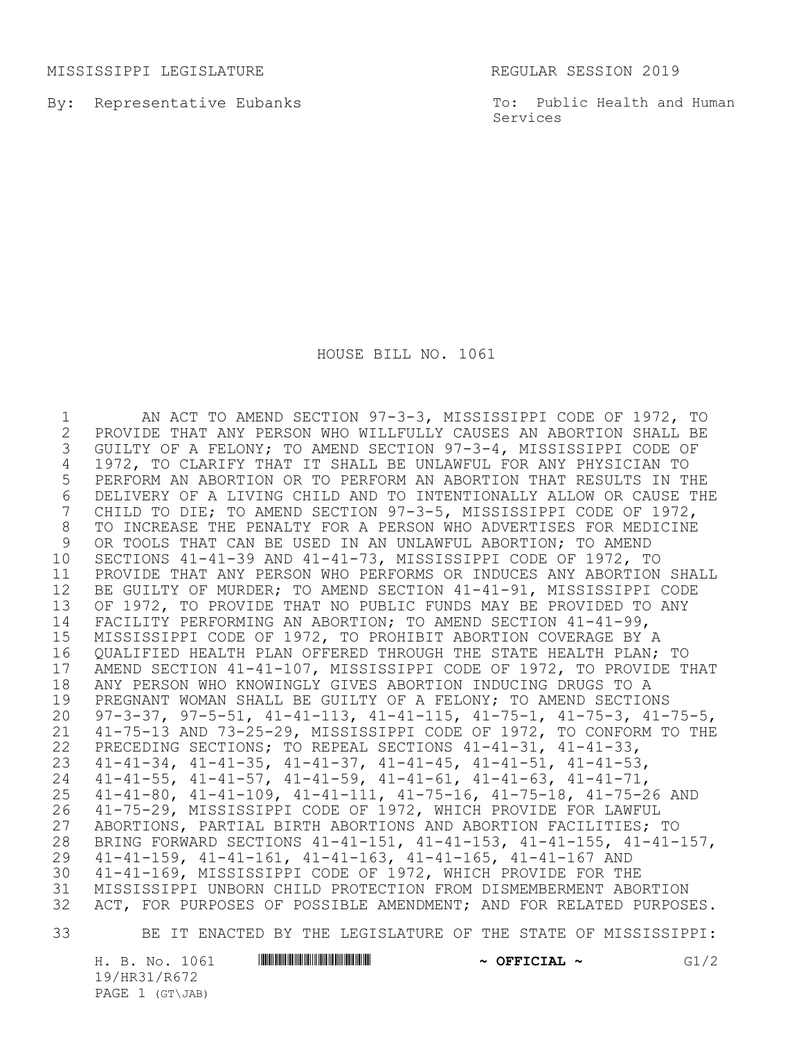MISSISSIPPI LEGISLATURE REGULAR SESSION 2019

By: Representative Eubanks

To: Public Health and Human Services

HOUSE BILL NO. 1061

1 AN ACT TO AMEND SECTION 97-3-3, MISSISSIPPI CODE OF 1972, TO<br>2 PROVIDE THAT ANY PERSON WHO WILLFULLY CAUSES AN ABORTION SHALL BE 2 PROVIDE THAT ANY PERSON WHO WILLFULLY CAUSES AN ABORTION SHALL BE<br>3 GUILTY OF A FELONY; TO AMEND SECTION 97-3-4, MISSISSIPPI CODE OF GUILTY OF A FELONY; TO AMEND SECTION 97-3-4, MISSISSIPPI CODE OF 1972, TO CLARIFY THAT IT SHALL BE UNLAWFUL FOR ANY PHYSICIAN TO PERFORM AN ABORTION OR TO PERFORM AN ABORTION THAT RESULTS IN THE 6 DELIVERY OF A LIVING CHILD AND TO INTENTIONALLY ALLOW OR CAUSE THE<br>7 CHILD TO DIE; TO AMEND SECTION 97-3-5, MISSISSIPPI CODE OF 1972, CHILD TO DIE; TO AMEND SECTION 97-3-5, MISSISSIPPI CODE OF 1972, TO INCREASE THE PENALTY FOR A PERSON WHO ADVERTISES FOR MEDICINE OR TOOLS THAT CAN BE USED IN AN UNLAWFUL ABORTION; TO AMEND SECTIONS 41-41-39 AND 41-41-73, MISSISSIPPI CODE OF 1972, TO PROVIDE THAT ANY PERSON WHO PERFORMS OR INDUCES ANY ABORTION SHALL BE GUILTY OF MURDER; TO AMEND SECTION 41-41-91, MISSISSIPPI CODE OF 1972, TO PROVIDE THAT NO PUBLIC FUNDS MAY BE PROVIDED TO ANY FACILITY PERFORMING AN ABORTION; TO AMEND SECTION 41-41-99, MISSISSIPPI CODE OF 1972, TO PROHIBIT ABORTION COVERAGE BY A QUALIFIED HEALTH PLAN OFFERED THROUGH THE STATE HEALTH PLAN; TO 17 AMEND SECTION 41-41-107, MISSISSIPPI CODE OF 1972, TO PROVIDE THAT<br>18 ANY PERSON WHO KNOWINGLY GIVES ABORTION INDUCING DRUGS TO A 18 ANY PERSON WHO KNOWINGLY GIVES ABORTION INDUCING DRUGS TO A<br>19 PREGNANT WOMAN SHALL BE GUILTY OF A FELONY: TO AMEND SECTION PREGNANT WOMAN SHALL BE GUILTY OF A FELONY; TO AMEND SECTIONS 97-3-37, 97-5-51, 41-41-113, 41-41-115, 41-75-1, 41-75-3, 41-75-5, 41-75-13 AND 73-25-29, MISSISSIPPI CODE OF 1972, TO CONFORM TO THE PRECEDING SECTIONS; TO REPEAL SECTIONS 41-41-31, 41-41-33, 41-41-34, 41-41-35, 41-41-37, 41-41-45, 41-41-51, 41-41-53, 41-41-55, 41-41-57, 41-41-59, 41-41-61, 41-41-63, 41-41-71, 25 41-41-80, 41-41-109, 41-41-111, 41-75-16, 41-75-18, 41-75-26 AND<br>26 41-75-29, MISSISSIPPI CODE OF 1972, WHICH PROVIDE FOR LAWFUL 41-75-29, MISSISSIPPI CODE OF 1972, WHICH PROVIDE FOR LAWFUL ABORTIONS, PARTIAL BIRTH ABORTIONS AND ABORTION FACILITIES; TO 28 BRING FORWARD SECTIONS 41-41-151, 41-41-153, 41-41-155, 41-41-157,<br>29 41-41-159, 41-41-161, 41-41-163, 41-41-165, 41-41-167 AND 41-41-159, 41-41-161, 41-41-163, 41-41-165, 41-41-167 AND 41-41-169, MISSISSIPPI CODE OF 1972, WHICH PROVIDE FOR THE MISSISSIPPI UNBORN CHILD PROTECTION FROM DISMEMBERMENT ABORTION ACT, FOR PURPOSES OF POSSIBLE AMENDMENT; AND FOR RELATED PURPOSES.

33 BE IT ENACTED BY THE LEGISLATURE OF THE STATE OF MISSISSIPPI:

19/HR31/R672 PAGE 1 (GT\JAB)

H. B. No. 1061 **HRINING TERMINIC IN THE PROPERTION A OFFICIAL**  $\sim$  **G1/2**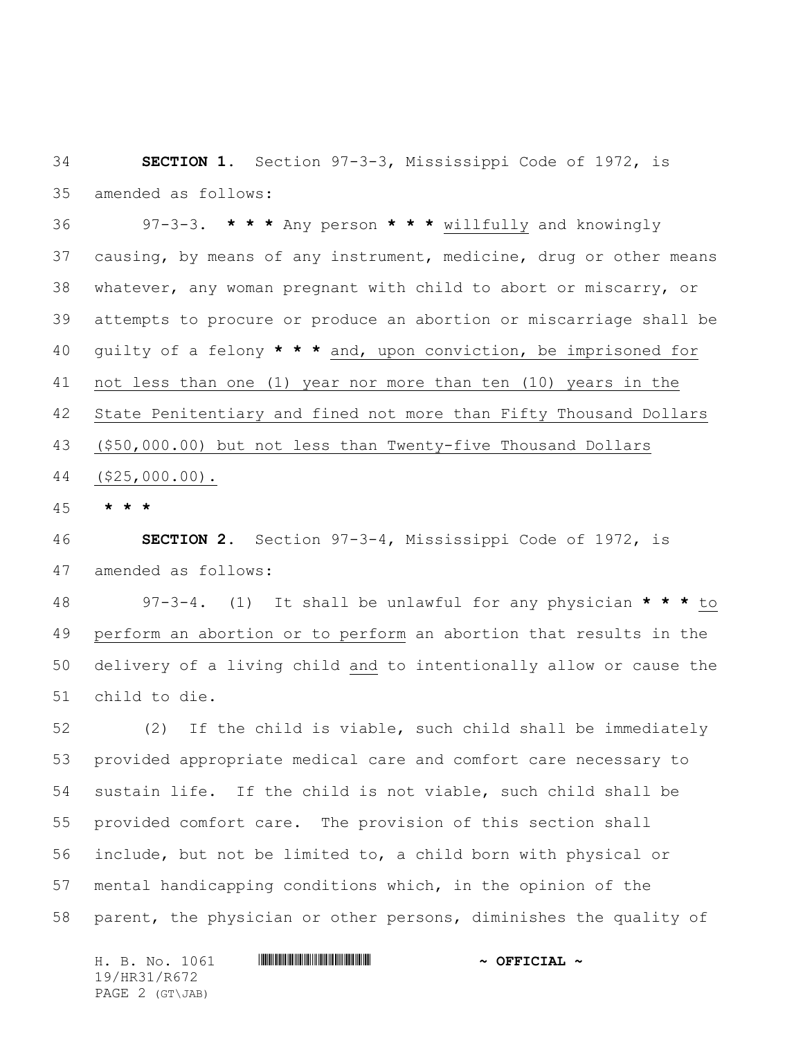**SECTION 1.** Section 97-3-3, Mississippi Code of 1972, is amended as follows:

 97-3-3. **\* \* \*** Any person **\* \* \*** willfully and knowingly causing, by means of any instrument, medicine, drug or other means whatever, any woman pregnant with child to abort or miscarry, or attempts to procure or produce an abortion or miscarriage shall be guilty of a felony **\* \* \*** and, upon conviction, be imprisoned for not less than one (1) year nor more than ten (10) years in the State Penitentiary and fined not more than Fifty Thousand Dollars (\$50,000.00) but not less than Twenty-five Thousand Dollars (\$25,000.00).

**\* \* \***

 **SECTION 2.** Section 97-3-4, Mississippi Code of 1972, is amended as follows:

 97-3-4. (1)It shall be unlawful for any physician **\* \* \*** to perform an abortion or to perform an abortion that results in the delivery of a living child and to intentionally allow or cause the child to die.

 (2) If the child is viable, such child shall be immediately provided appropriate medical care and comfort care necessary to sustain life. If the child is not viable, such child shall be provided comfort care. The provision of this section shall include, but not be limited to, a child born with physical or mental handicapping conditions which, in the opinion of the parent, the physician or other persons, diminishes the quality of

H. B. No. 1061 **HR31/R67241 & OFFICIAL ~** 19/HR31/R672 PAGE 2 (GT\JAB)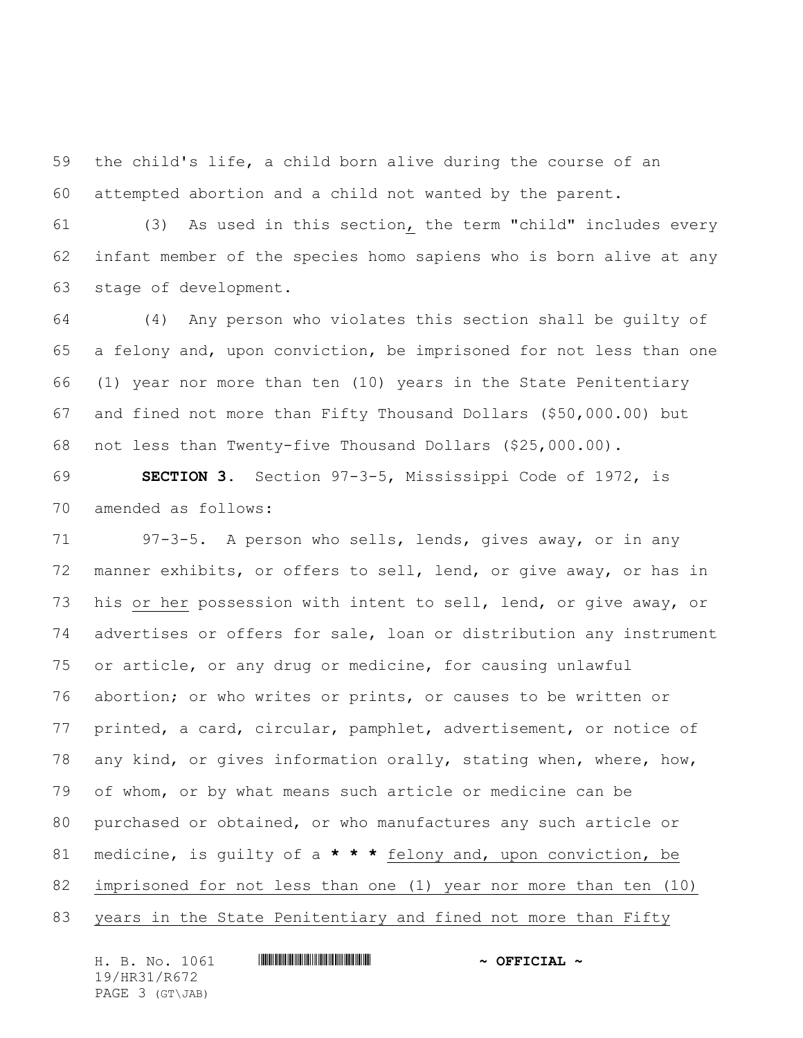the child's life, a child born alive during the course of an attempted abortion and a child not wanted by the parent.

 (3) As used in this section, the term "child" includes every infant member of the species homo sapiens who is born alive at any stage of development.

 (4) Any person who violates this section shall be guilty of a felony and, upon conviction, be imprisoned for not less than one (1) year nor more than ten (10) years in the State Penitentiary and fined not more than Fifty Thousand Dollars (\$50,000.00) but not less than Twenty-five Thousand Dollars (\$25,000.00).

 **SECTION 3.** Section 97-3-5, Mississippi Code of 1972, is amended as follows:

 97-3-5. A person who sells, lends, gives away, or in any manner exhibits, or offers to sell, lend, or give away, or has in his or her possession with intent to sell, lend, or give away, or advertises or offers for sale, loan or distribution any instrument or article, or any drug or medicine, for causing unlawful abortion; or who writes or prints, or causes to be written or printed, a card, circular, pamphlet, advertisement, or notice of any kind, or gives information orally, stating when, where, how, of whom, or by what means such article or medicine can be purchased or obtained, or who manufactures any such article or medicine, is guilty of a **\* \* \*** felony and, upon conviction, be imprisoned for not less than one (1) year nor more than ten (10) years in the State Penitentiary and fined not more than Fifty

| H. B. No. 1061  | $\sim$ OFFICIAL $\sim$ |
|-----------------|------------------------|
| 19/HR31/R672    |                        |
| PAGE 3 (GT\JAB) |                        |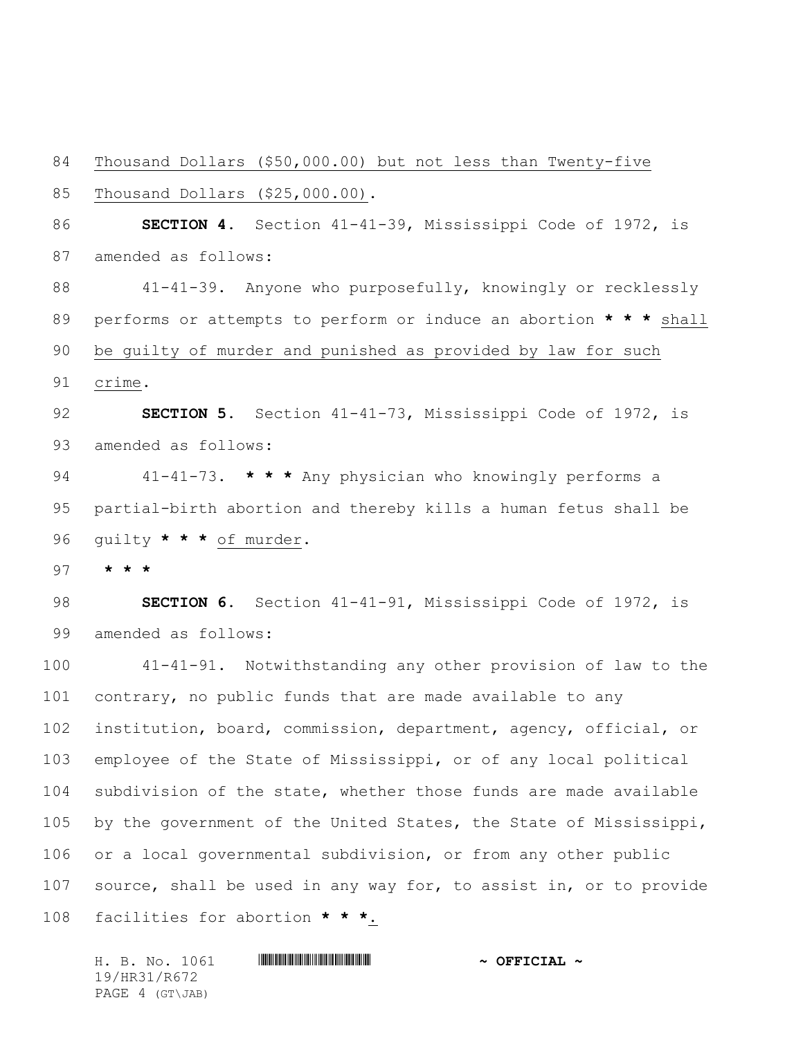Thousand Dollars (\$50,000.00) but not less than Twenty-five

Thousand Dollars (\$25,000.00).

 **SECTION 4.** Section 41-41-39, Mississippi Code of 1972, is amended as follows:

 41-41-39. Anyone who purposefully, knowingly or recklessly performs or attempts to perform or induce an abortion **\* \* \*** shall be guilty of murder and punished as provided by law for such crime.

 **SECTION 5.** Section 41-41-73, Mississippi Code of 1972, is amended as follows:

 41-41-73. **\* \* \*** Any physician who knowingly performs a partial-birth abortion and thereby kills a human fetus shall be guilty **\* \* \*** of murder.

**\* \* \***

 **SECTION 6.** Section 41-41-91, Mississippi Code of 1972, is amended as follows:

 41-41-91. Notwithstanding any other provision of law to the contrary, no public funds that are made available to any institution, board, commission, department, agency, official, or employee of the State of Mississippi, or of any local political subdivision of the state, whether those funds are made available by the government of the United States, the State of Mississippi, or a local governmental subdivision, or from any other public source, shall be used in any way for, to assist in, or to provide facilities for abortion **\* \* \***.

H. B. No. 1061 **HR31/R67241 & OFFICIAL ~** 19/HR31/R672 PAGE 4 (GT\JAB)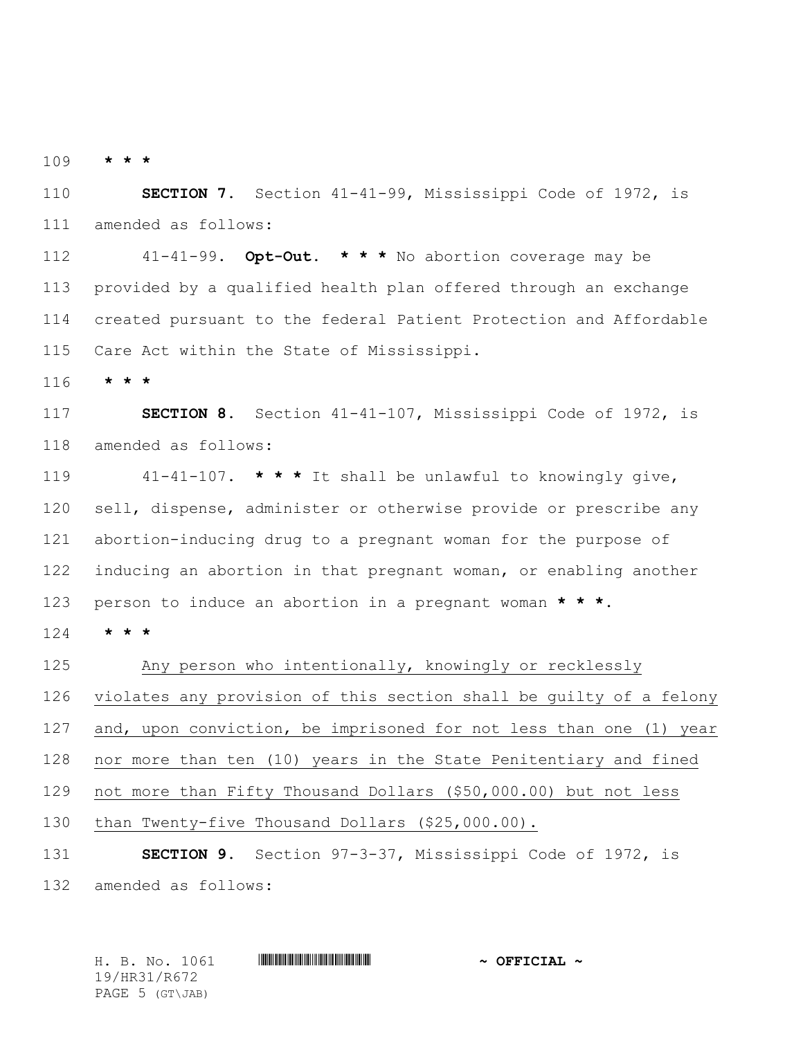**\* \* \***

 **SECTION 7.** Section 41-41-99, Mississippi Code of 1972, is amended as follows:

 41-41-99. **Opt-Out. \* \* \*** No abortion coverage may be provided by a qualified health plan offered through an exchange created pursuant to the federal Patient Protection and Affordable Care Act within the State of Mississippi.

**\* \* \***

 **SECTION 8.** Section 41-41-107, Mississippi Code of 1972, is amended as follows:

 41-41-107. **\* \* \*** It shall be unlawful to knowingly give, sell, dispense, administer or otherwise provide or prescribe any abortion-inducing drug to a pregnant woman for the purpose of inducing an abortion in that pregnant woman, or enabling another person to induce an abortion in a pregnant woman **\* \* \***.

**\* \* \***

 Any person who intentionally, knowingly or recklessly violates any provision of this section shall be guilty of a felony and, upon conviction, be imprisoned for not less than one (1) year nor more than ten (10) years in the State Penitentiary and fined not more than Fifty Thousand Dollars (\$50,000.00) but not less than Twenty-five Thousand Dollars (\$25,000.00). **SECTION 9.** Section 97-3-37, Mississippi Code of 1972, is

amended as follows:

H. B. No. 1061 \*HR31/R672\* **~ OFFICIAL ~** 19/HR31/R672 PAGE 5 (GT\JAB)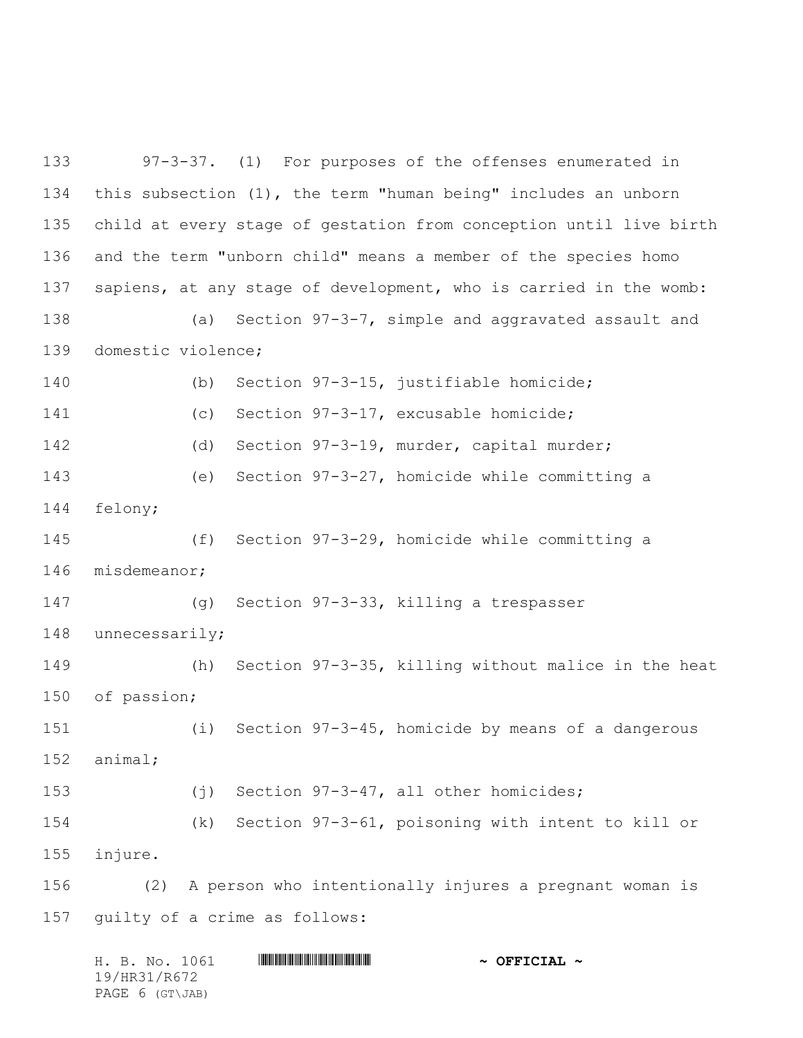97-3-37. (1) For purposes of the offenses enumerated in this subsection (1), the term "human being" includes an unborn child at every stage of gestation from conception until live birth and the term "unborn child" means a member of the species homo sapiens, at any stage of development, who is carried in the womb: (a) Section 97-3-7, simple and aggravated assault and domestic violence; (b) Section 97-3-15, justifiable homicide; (c) Section 97-3-17, excusable homicide; (d) Section 97-3-19, murder, capital murder; (e) Section 97-3-27, homicide while committing a felony; (f) Section 97-3-29, homicide while committing a misdemeanor; (g) Section 97-3-33, killing a trespasser unnecessarily; (h) Section 97-3-35, killing without malice in the heat of passion; (i) Section 97-3-45, homicide by means of a dangerous animal; (j) Section 97-3-47, all other homicides; (k) Section 97-3-61, poisoning with intent to kill or injure. (2) A person who intentionally injures a pregnant woman is guilty of a crime as follows:

|              |  | H. B. No. 1061  |  |  |  | $\sim$ OFFICIAL $\sim$ |  |
|--------------|--|-----------------|--|--|--|------------------------|--|
| 19/HR31/R672 |  |                 |  |  |  |                        |  |
|              |  | PAGE 6 (GT\JAB) |  |  |  |                        |  |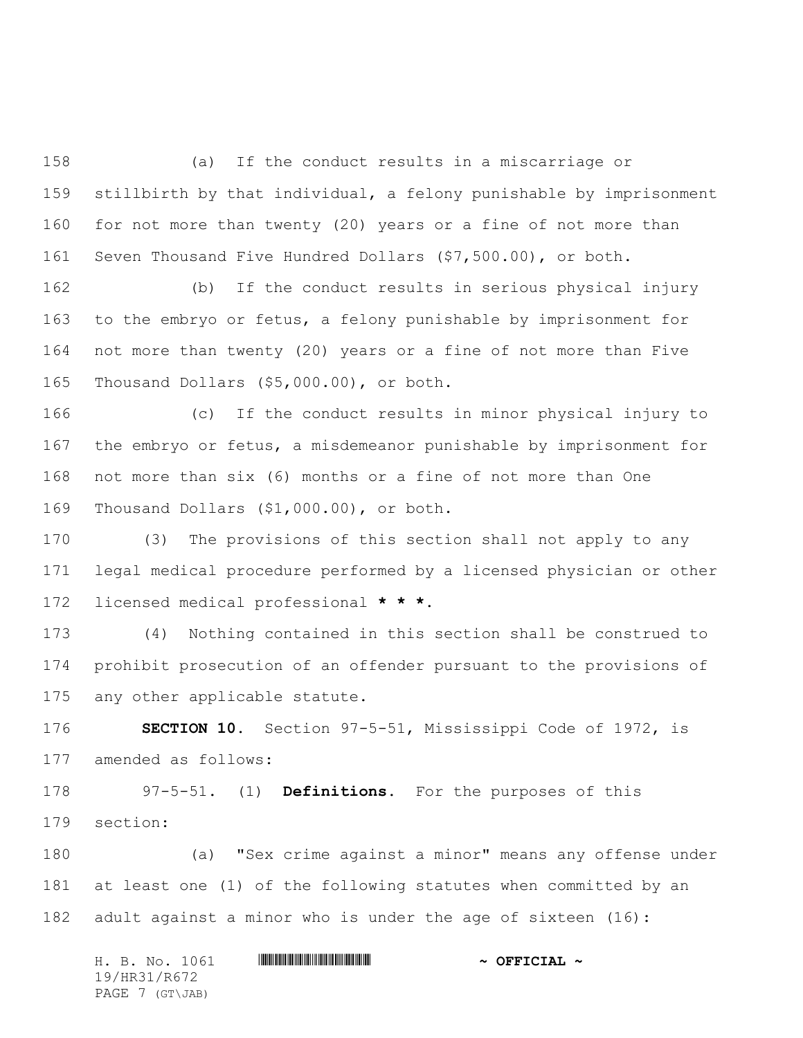(a) If the conduct results in a miscarriage or stillbirth by that individual, a felony punishable by imprisonment for not more than twenty (20) years or a fine of not more than Seven Thousand Five Hundred Dollars (\$7,500.00), or both.

 (b) If the conduct results in serious physical injury to the embryo or fetus, a felony punishable by imprisonment for not more than twenty (20) years or a fine of not more than Five Thousand Dollars (\$5,000.00), or both.

 (c) If the conduct results in minor physical injury to the embryo or fetus, a misdemeanor punishable by imprisonment for not more than six (6) months or a fine of not more than One Thousand Dollars (\$1,000.00), or both.

 (3) The provisions of this section shall not apply to any legal medical procedure performed by a licensed physician or other licensed medical professional **\* \* \***.

 (4) Nothing contained in this section shall be construed to prohibit prosecution of an offender pursuant to the provisions of any other applicable statute.

 **SECTION 10.** Section 97-5-51, Mississippi Code of 1972, is amended as follows:

 97-5-51. (1) **Definitions.** For the purposes of this section:

 (a) "Sex crime against a minor" means any offense under at least one (1) of the following statutes when committed by an adult against a minor who is under the age of sixteen (16):

|  |                 | H. B. No. 1061 |  | $\sim$ OFFICIAL $\sim$ |
|--|-----------------|----------------|--|------------------------|
|  | 19/HR31/R672    |                |  |                        |
|  | PAGE 7 (GT\JAB) |                |  |                        |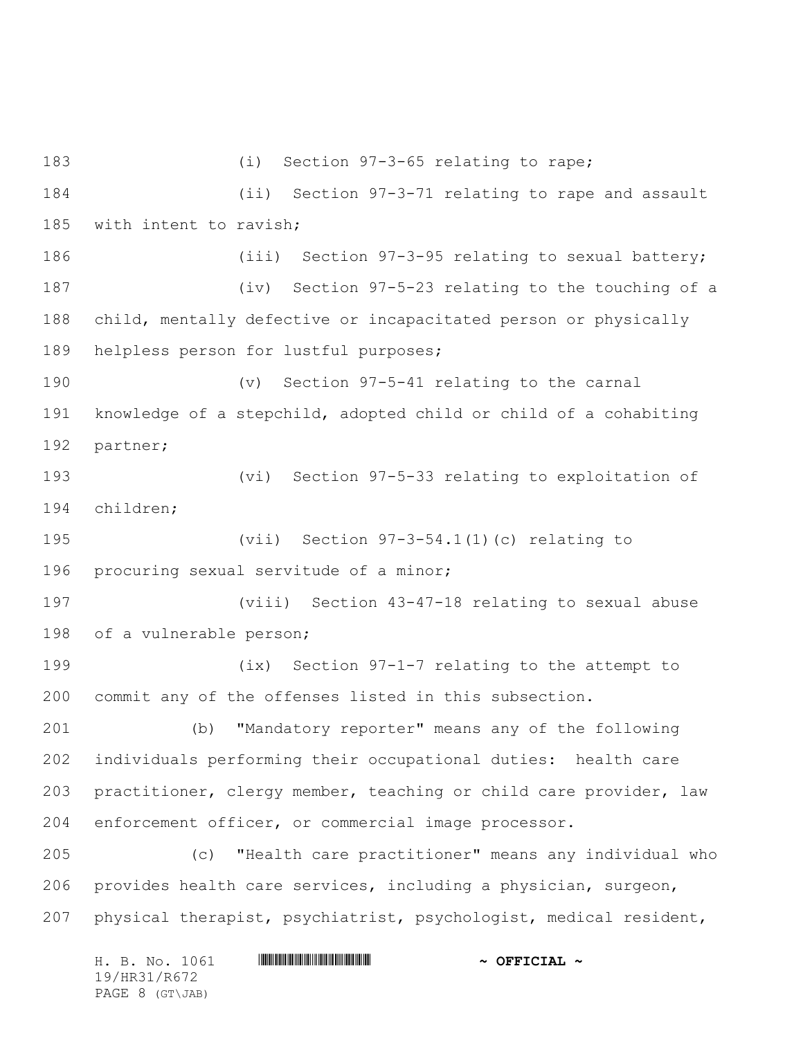(i) Section 97-3-65 relating to rape; (ii) Section 97-3-71 relating to rape and assault with intent to ravish; (iii) Section 97-3-95 relating to sexual battery; (iv) Section 97-5-23 relating to the touching of a child, mentally defective or incapacitated person or physically helpless person for lustful purposes; (v) Section 97-5-41 relating to the carnal knowledge of a stepchild, adopted child or child of a cohabiting partner; (vi) Section 97-5-33 relating to exploitation of children; (vii) Section 97-3-54.1(1)(c) relating to procuring sexual servitude of a minor; (viii) Section 43-47-18 relating to sexual abuse of a vulnerable person; (ix) Section 97-1-7 relating to the attempt to commit any of the offenses listed in this subsection. (b) "Mandatory reporter" means any of the following individuals performing their occupational duties: health care practitioner, clergy member, teaching or child care provider, law enforcement officer, or commercial image processor. (c) "Health care practitioner" means any individual who provides health care services, including a physician, surgeon, physical therapist, psychiatrist, psychologist, medical resident,

H. B. No. 1061 **HR31/R67241 \***  $\sim$  OFFICIAL  $\sim$ 19/HR31/R672 PAGE 8 (GT\JAB)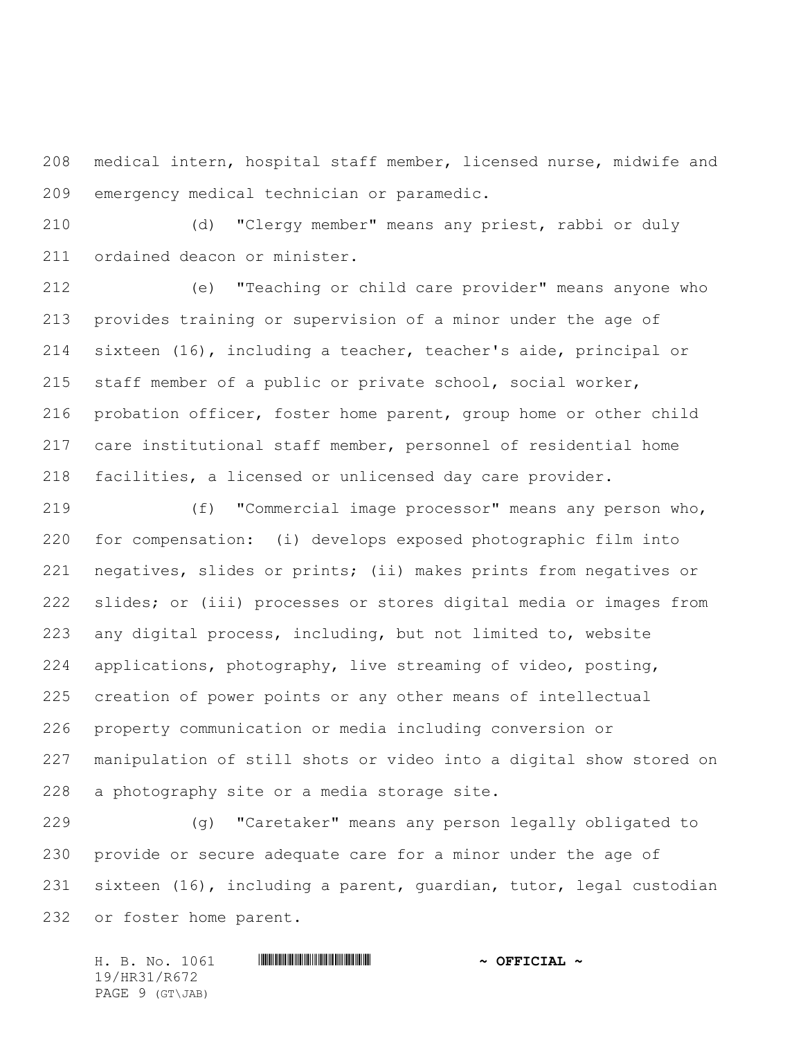medical intern, hospital staff member, licensed nurse, midwife and emergency medical technician or paramedic.

 (d) "Clergy member" means any priest, rabbi or duly ordained deacon or minister.

 (e) "Teaching or child care provider" means anyone who provides training or supervision of a minor under the age of sixteen (16), including a teacher, teacher's aide, principal or staff member of a public or private school, social worker, probation officer, foster home parent, group home or other child care institutional staff member, personnel of residential home facilities, a licensed or unlicensed day care provider.

 (f) "Commercial image processor" means any person who, for compensation: (i) develops exposed photographic film into negatives, slides or prints; (ii) makes prints from negatives or slides; or (iii) processes or stores digital media or images from any digital process, including, but not limited to, website applications, photography, live streaming of video, posting, creation of power points or any other means of intellectual property communication or media including conversion or manipulation of still shots or video into a digital show stored on a photography site or a media storage site.

 (g) "Caretaker" means any person legally obligated to provide or secure adequate care for a minor under the age of sixteen (16), including a parent, guardian, tutor, legal custodian or foster home parent.

H. B. No. 1061 \*HR31/R672\* **~ OFFICIAL ~** 19/HR31/R672 PAGE 9 (GT\JAB)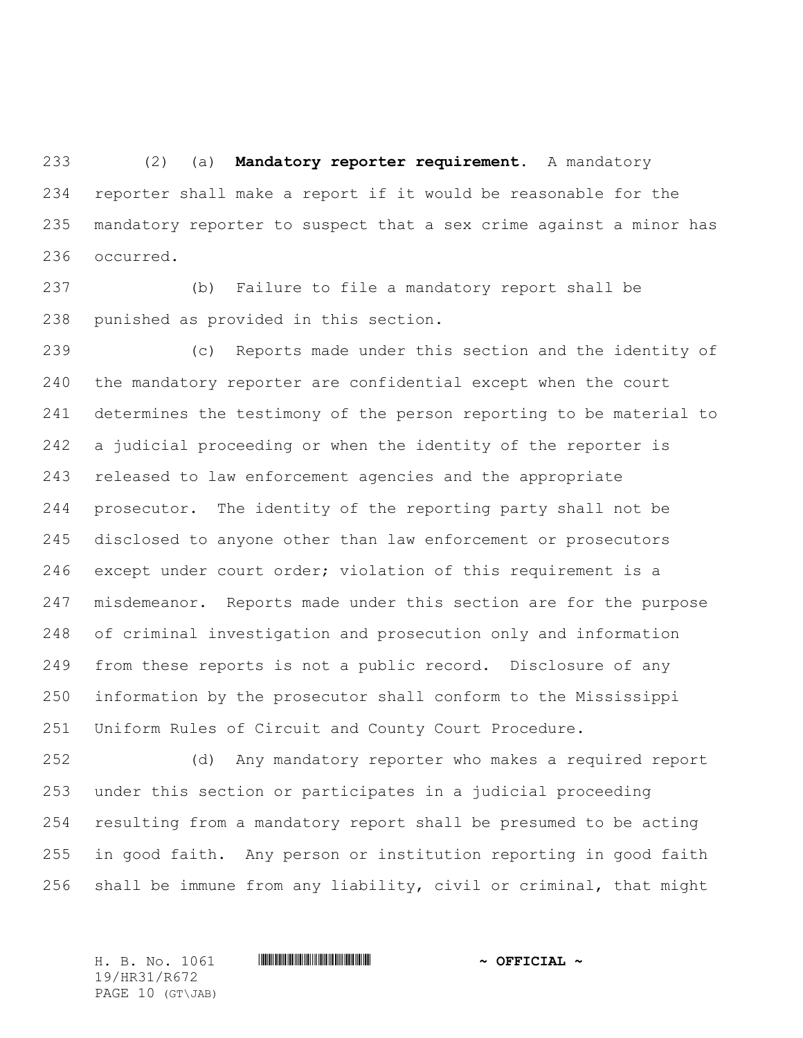(2) (a) **Mandatory reporter requirement.** A mandatory reporter shall make a report if it would be reasonable for the mandatory reporter to suspect that a sex crime against a minor has occurred.

 (b) Failure to file a mandatory report shall be punished as provided in this section.

 (c) Reports made under this section and the identity of the mandatory reporter are confidential except when the court determines the testimony of the person reporting to be material to a judicial proceeding or when the identity of the reporter is released to law enforcement agencies and the appropriate prosecutor. The identity of the reporting party shall not be disclosed to anyone other than law enforcement or prosecutors except under court order; violation of this requirement is a misdemeanor. Reports made under this section are for the purpose of criminal investigation and prosecution only and information from these reports is not a public record. Disclosure of any information by the prosecutor shall conform to the Mississippi Uniform Rules of Circuit and County Court Procedure.

 (d) Any mandatory reporter who makes a required report under this section or participates in a judicial proceeding resulting from a mandatory report shall be presumed to be acting in good faith. Any person or institution reporting in good faith shall be immune from any liability, civil or criminal, that might

19/HR31/R672 PAGE 10 (GT\JAB)

H. B. No. 1061 \*HR31/R672\* **~ OFFICIAL ~**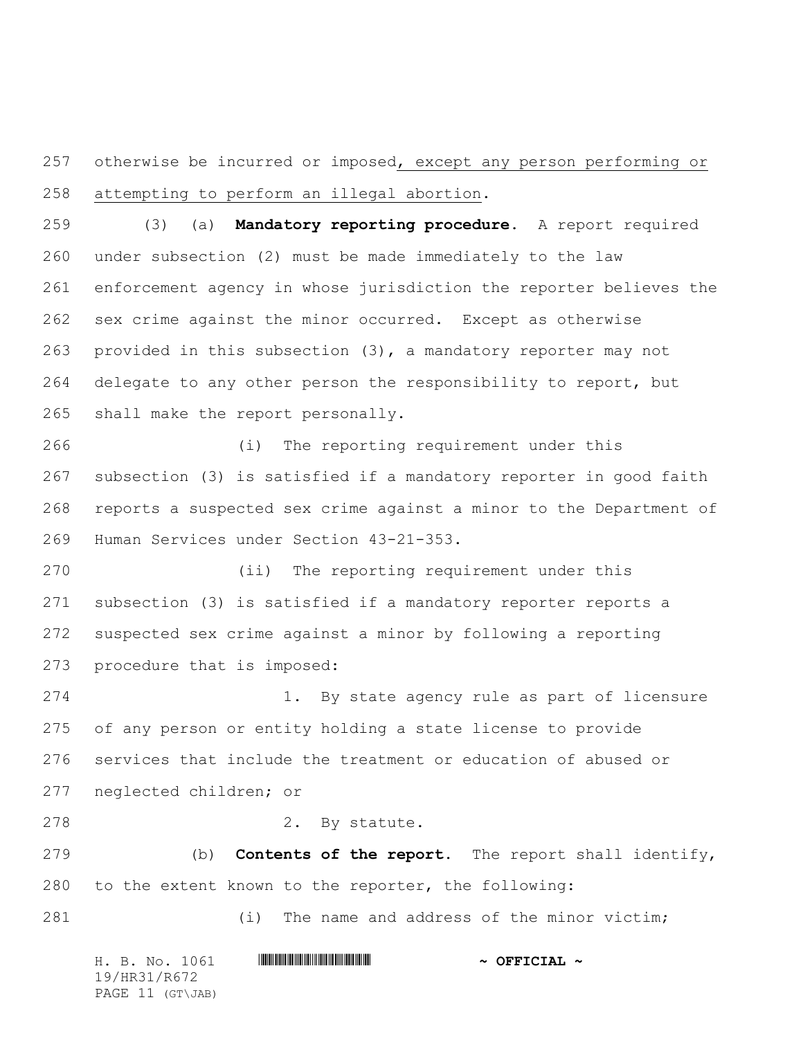257 otherwise be incurred or imposed, except any person performing or attempting to perform an illegal abortion.

 (3) (a) **Mandatory reporting procedure.** A report required under subsection (2) must be made immediately to the law enforcement agency in whose jurisdiction the reporter believes the sex crime against the minor occurred. Except as otherwise provided in this subsection (3), a mandatory reporter may not delegate to any other person the responsibility to report, but shall make the report personally.

 (i) The reporting requirement under this subsection (3) is satisfied if a mandatory reporter in good faith reports a suspected sex crime against a minor to the Department of Human Services under Section 43-21-353.

 (ii) The reporting requirement under this subsection (3) is satisfied if a mandatory reporter reports a suspected sex crime against a minor by following a reporting procedure that is imposed:

 1. By state agency rule as part of licensure of any person or entity holding a state license to provide services that include the treatment or education of abused or neglected children; or

278 2. By statute.

 (b) **Contents of the report.** The report shall identify, to the extent known to the reporter, the following:

(i) The name and address of the minor victim;

|  |              | H. B. No. 1061   |  | $\sim$ OFFICIAL $\sim$ |
|--|--------------|------------------|--|------------------------|
|  | 19/HR31/R672 |                  |  |                        |
|  |              | PAGE 11 (GT\JAB) |  |                        |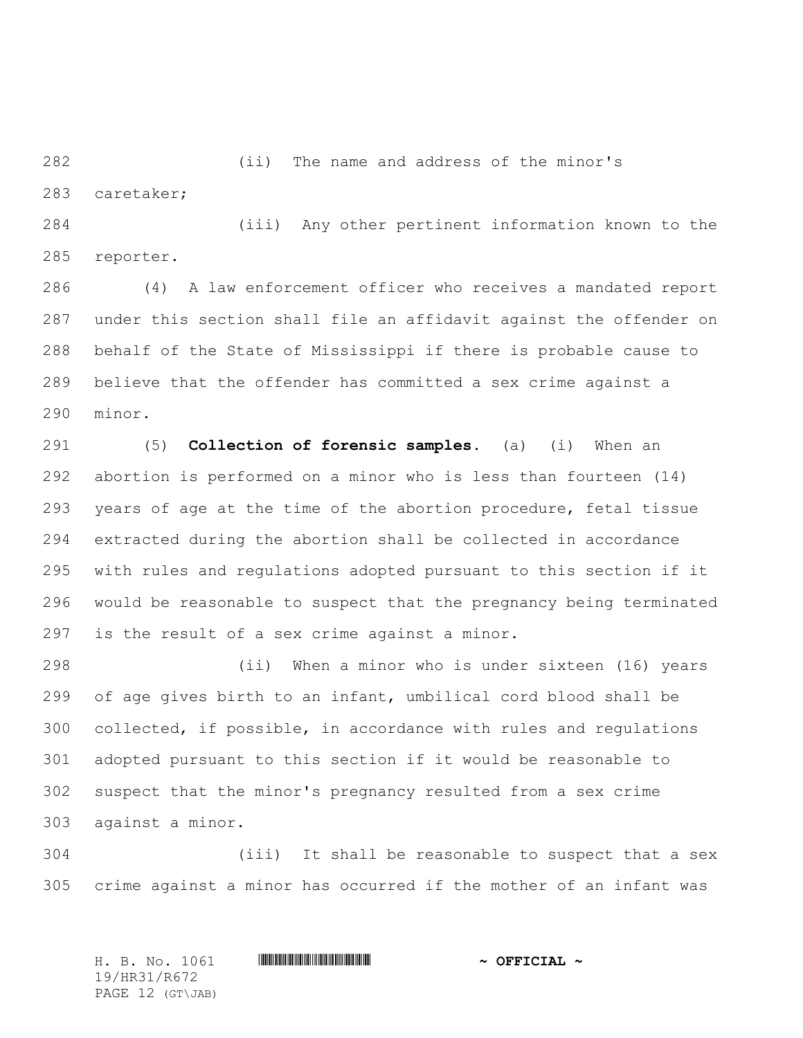(ii) The name and address of the minor's

caretaker;

 (iii) Any other pertinent information known to the reporter.

 (4) A law enforcement officer who receives a mandated report under this section shall file an affidavit against the offender on behalf of the State of Mississippi if there is probable cause to believe that the offender has committed a sex crime against a minor.

 (5) **Collection of forensic samples.** (a) (i) When an abortion is performed on a minor who is less than fourteen (14) years of age at the time of the abortion procedure, fetal tissue extracted during the abortion shall be collected in accordance with rules and regulations adopted pursuant to this section if it would be reasonable to suspect that the pregnancy being terminated is the result of a sex crime against a minor.

 (ii) When a minor who is under sixteen (16) years of age gives birth to an infant, umbilical cord blood shall be collected, if possible, in accordance with rules and regulations adopted pursuant to this section if it would be reasonable to suspect that the minor's pregnancy resulted from a sex crime against a minor.

 (iii) It shall be reasonable to suspect that a sex crime against a minor has occurred if the mother of an infant was

H. B. No. 1061 \*HR31/R672\* **~ OFFICIAL ~** 19/HR31/R672 PAGE 12 (GT\JAB)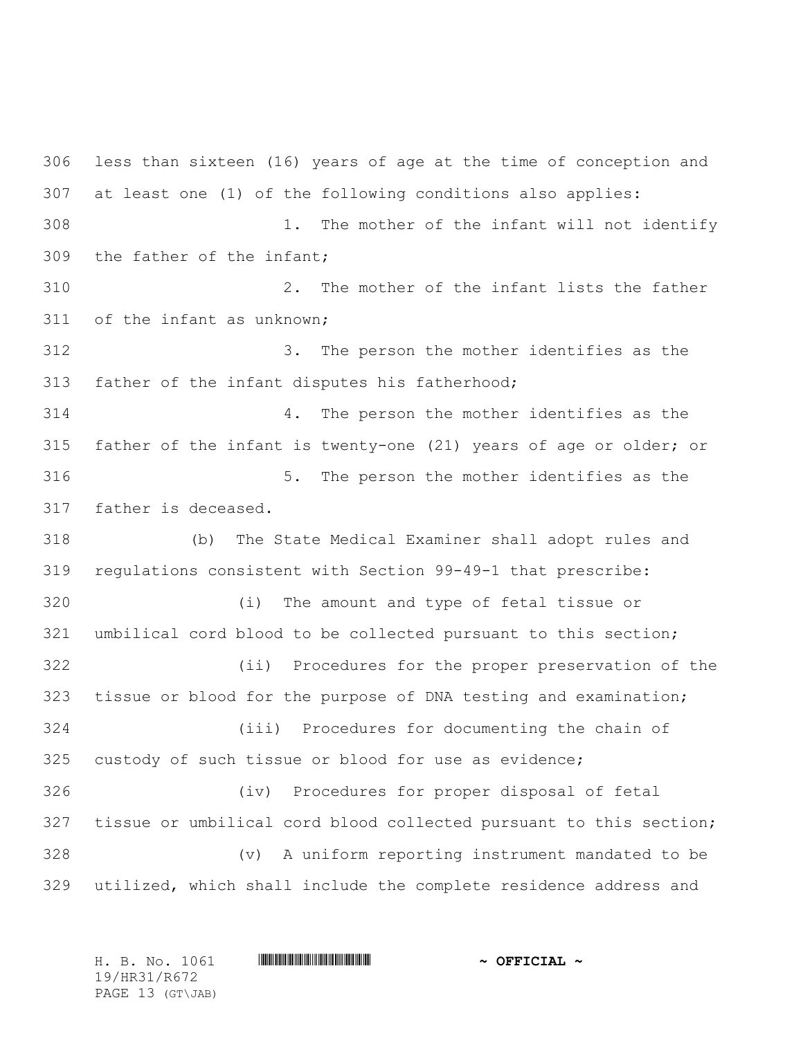less than sixteen (16) years of age at the time of conception and at least one (1) of the following conditions also applies: 1. The mother of the infant will not identify the father of the infant; 2. The mother of the infant lists the father of the infant as unknown; 3. The person the mother identifies as the father of the infant disputes his fatherhood; 4. The person the mother identifies as the father of the infant is twenty-one (21) years of age or older; or 5. The person the mother identifies as the father is deceased. (b) The State Medical Examiner shall adopt rules and regulations consistent with Section 99-49-1 that prescribe: (i) The amount and type of fetal tissue or umbilical cord blood to be collected pursuant to this section; (ii) Procedures for the proper preservation of the tissue or blood for the purpose of DNA testing and examination; (iii) Procedures for documenting the chain of custody of such tissue or blood for use as evidence; (iv) Procedures for proper disposal of fetal tissue or umbilical cord blood collected pursuant to this section; (v) A uniform reporting instrument mandated to be utilized, which shall include the complete residence address and

| H. B. No. 1061   | $\sim$ OFFICIAL $\sim$ |
|------------------|------------------------|
| 19/HR31/R672     |                        |
| PAGE 13 (GT\JAB) |                        |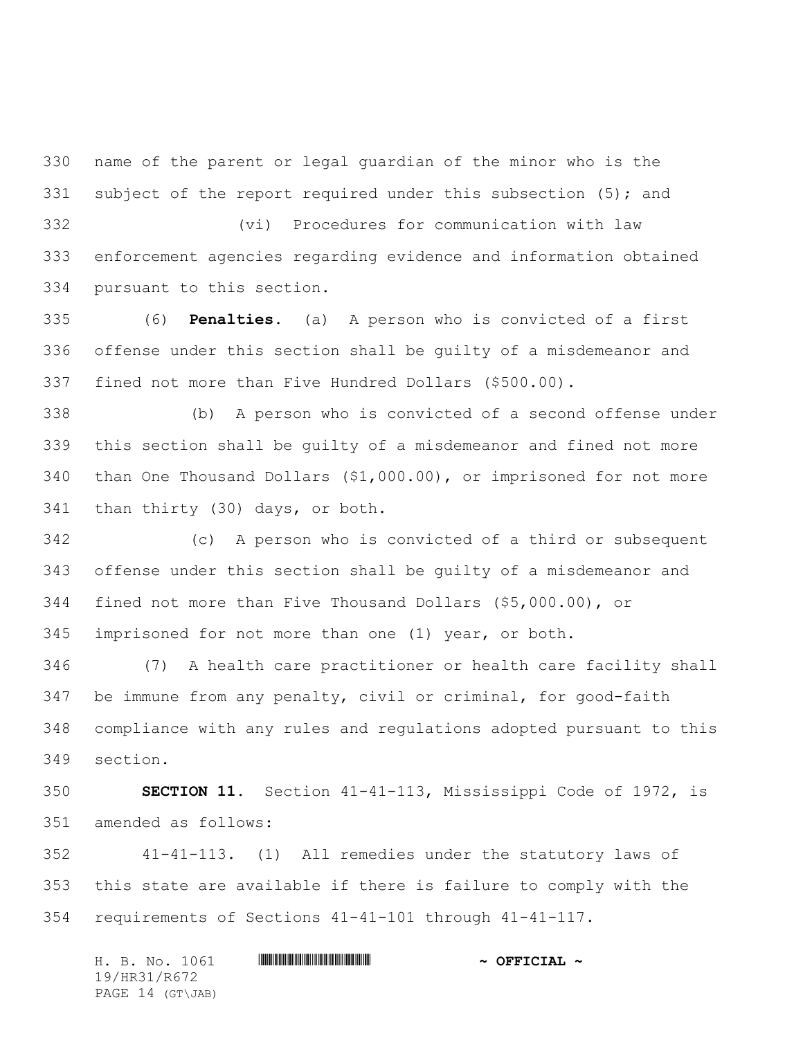name of the parent or legal guardian of the minor who is the 331 subject of the report required under this subsection (5); and

 (vi) Procedures for communication with law enforcement agencies regarding evidence and information obtained pursuant to this section.

 (6) **Penalties.** (a) A person who is convicted of a first offense under this section shall be guilty of a misdemeanor and fined not more than Five Hundred Dollars (\$500.00).

 (b) A person who is convicted of a second offense under this section shall be guilty of a misdemeanor and fined not more than One Thousand Dollars (\$1,000.00), or imprisoned for not more than thirty (30) days, or both.

 (c) A person who is convicted of a third or subsequent offense under this section shall be guilty of a misdemeanor and fined not more than Five Thousand Dollars (\$5,000.00), or imprisoned for not more than one (1) year, or both.

 (7) A health care practitioner or health care facility shall be immune from any penalty, civil or criminal, for good-faith compliance with any rules and regulations adopted pursuant to this section.

 **SECTION 11.** Section 41-41-113, Mississippi Code of 1972, is amended as follows:

 41-41-113. (1) All remedies under the statutory laws of this state are available if there is failure to comply with the requirements of Sections 41-41-101 through 41-41-117.

H. B. No. 1061 **HR31/R67241 & OFFICIAL ~** 19/HR31/R672 PAGE 14 (GT\JAB)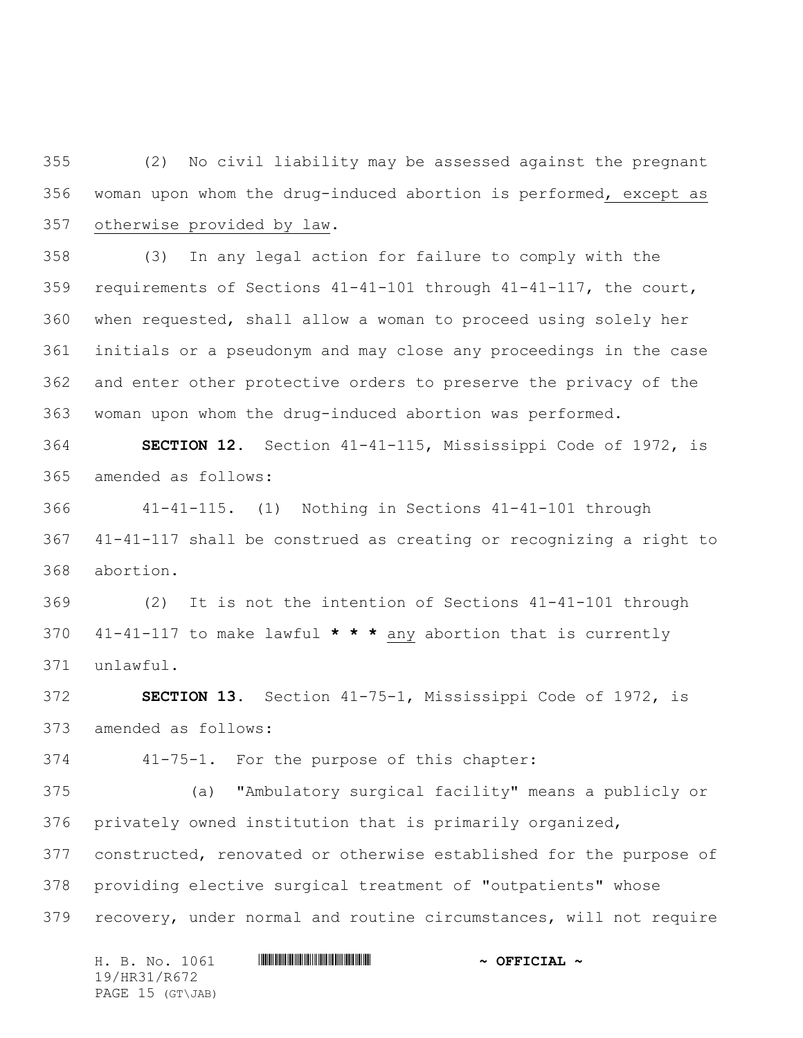(2) No civil liability may be assessed against the pregnant woman upon whom the drug-induced abortion is performed, except as otherwise provided by law.

 (3) In any legal action for failure to comply with the requirements of Sections 41-41-101 through 41-41-117, the court, when requested, shall allow a woman to proceed using solely her initials or a pseudonym and may close any proceedings in the case and enter other protective orders to preserve the privacy of the woman upon whom the drug-induced abortion was performed.

 **SECTION 12.** Section 41-41-115, Mississippi Code of 1972, is amended as follows:

 41-41-115. (1) Nothing in Sections 41-41-101 through 41-41-117 shall be construed as creating or recognizing a right to abortion.

 (2) It is not the intention of Sections 41-41-101 through 41-41-117 to make lawful **\* \* \*** any abortion that is currently unlawful.

 **SECTION 13.** Section 41-75-1, Mississippi Code of 1972, is amended as follows:

41-75-1. For the purpose of this chapter:

 (a) "Ambulatory surgical facility" means a publicly or privately owned institution that is primarily organized, constructed, renovated or otherwise established for the purpose of providing elective surgical treatment of "outpatients" whose recovery, under normal and routine circumstances, will not require

H. B. No. 1061 **HR31/R67241 & OFFICIAL ~** 19/HR31/R672 PAGE 15 (GT\JAB)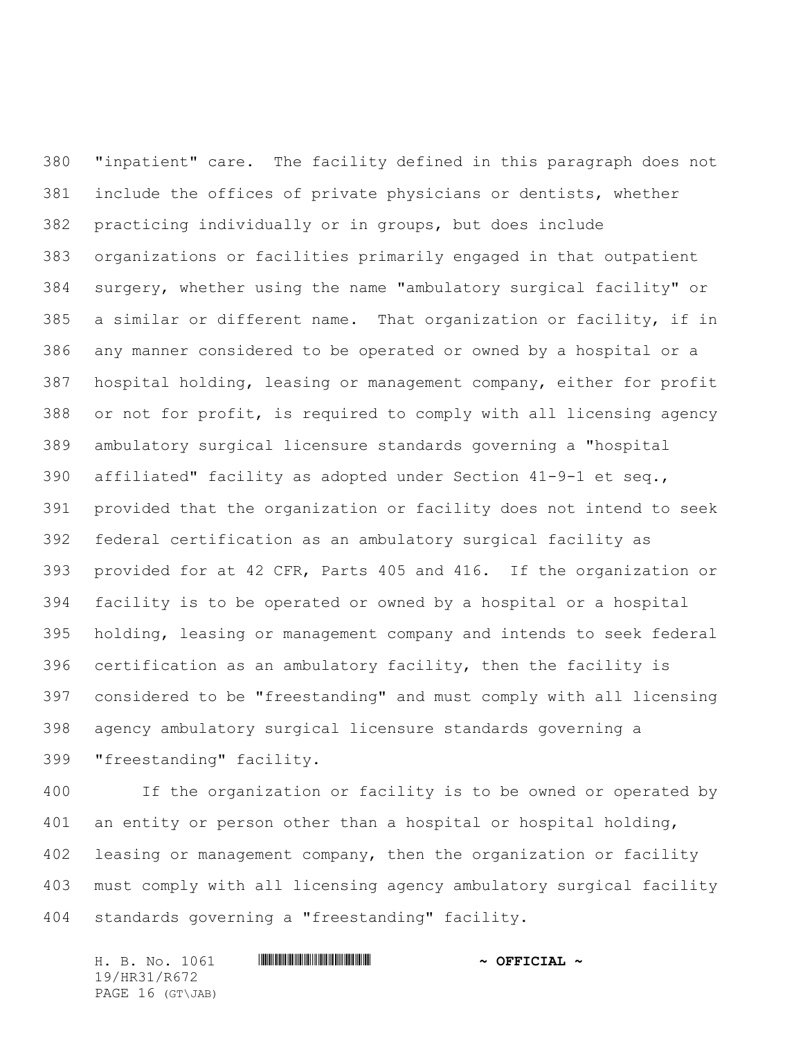"inpatient" care. The facility defined in this paragraph does not include the offices of private physicians or dentists, whether practicing individually or in groups, but does include organizations or facilities primarily engaged in that outpatient surgery, whether using the name "ambulatory surgical facility" or a similar or different name. That organization or facility, if in any manner considered to be operated or owned by a hospital or a hospital holding, leasing or management company, either for profit or not for profit, is required to comply with all licensing agency ambulatory surgical licensure standards governing a "hospital affiliated" facility as adopted under Section 41-9-1 et seq., provided that the organization or facility does not intend to seek federal certification as an ambulatory surgical facility as provided for at 42 CFR, Parts 405 and 416. If the organization or facility is to be operated or owned by a hospital or a hospital holding, leasing or management company and intends to seek federal certification as an ambulatory facility, then the facility is considered to be "freestanding" and must comply with all licensing agency ambulatory surgical licensure standards governing a "freestanding" facility.

 If the organization or facility is to be owned or operated by an entity or person other than a hospital or hospital holding, leasing or management company, then the organization or facility must comply with all licensing agency ambulatory surgical facility standards governing a "freestanding" facility.

H. B. No. 1061 **HR31/R67241 & OFFICIAL ~** 19/HR31/R672 PAGE 16 (GT\JAB)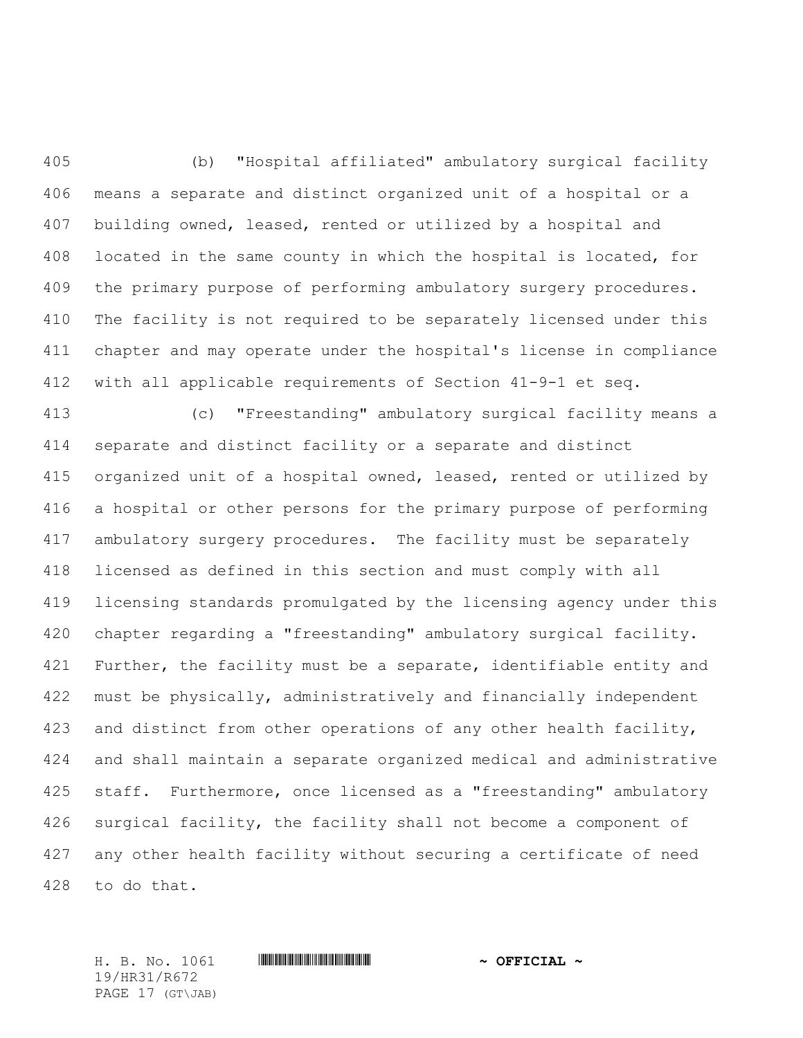(b) "Hospital affiliated" ambulatory surgical facility means a separate and distinct organized unit of a hospital or a building owned, leased, rented or utilized by a hospital and located in the same county in which the hospital is located, for the primary purpose of performing ambulatory surgery procedures. The facility is not required to be separately licensed under this chapter and may operate under the hospital's license in compliance with all applicable requirements of Section 41-9-1 et seq.

 (c) "Freestanding" ambulatory surgical facility means a separate and distinct facility or a separate and distinct organized unit of a hospital owned, leased, rented or utilized by a hospital or other persons for the primary purpose of performing ambulatory surgery procedures. The facility must be separately licensed as defined in this section and must comply with all licensing standards promulgated by the licensing agency under this chapter regarding a "freestanding" ambulatory surgical facility. 421 Further, the facility must be a separate, identifiable entity and 422 must be physically, administratively and financially independent and distinct from other operations of any other health facility, and shall maintain a separate organized medical and administrative 425 staff. Furthermore, once licensed as a "freestanding" ambulatory surgical facility, the facility shall not become a component of any other health facility without securing a certificate of need to do that.

19/HR31/R672 PAGE 17 (GT\JAB)

H. B. No. 1061 \*HR31/R672\* **~ OFFICIAL ~**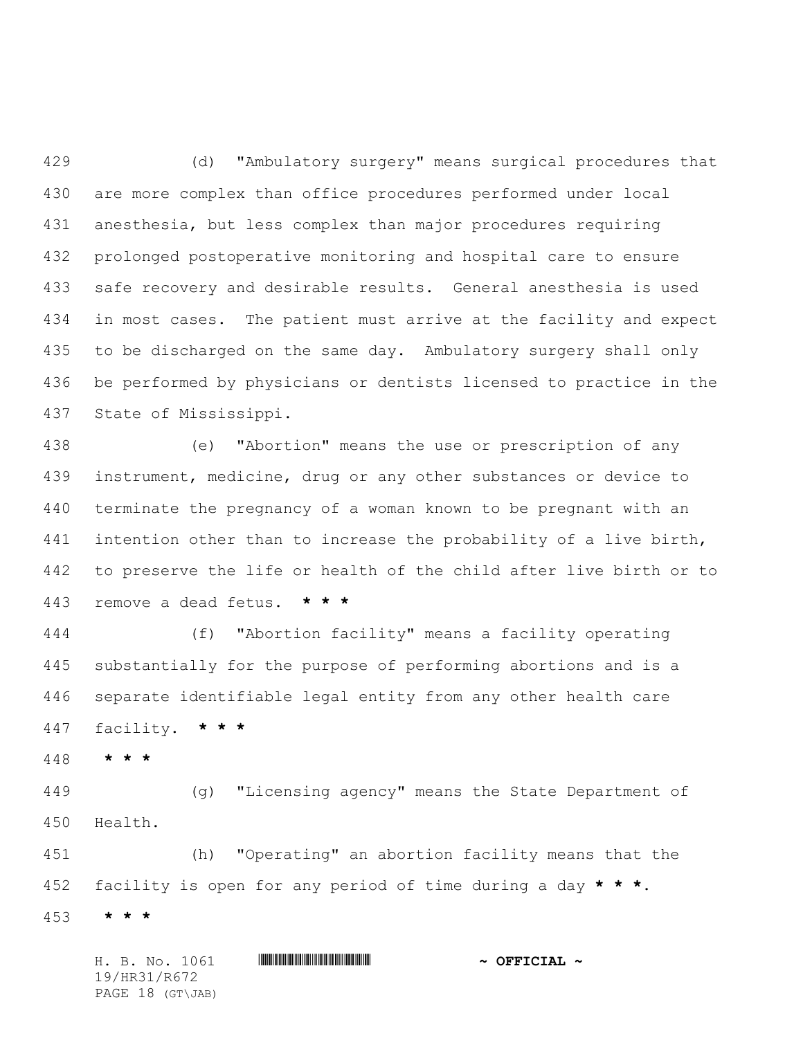(d) "Ambulatory surgery" means surgical procedures that are more complex than office procedures performed under local anesthesia, but less complex than major procedures requiring prolonged postoperative monitoring and hospital care to ensure safe recovery and desirable results. General anesthesia is used in most cases. The patient must arrive at the facility and expect 435 to be discharged on the same day. Ambulatory surgery shall only be performed by physicians or dentists licensed to practice in the State of Mississippi.

 (e) "Abortion" means the use or prescription of any instrument, medicine, drug or any other substances or device to terminate the pregnancy of a woman known to be pregnant with an intention other than to increase the probability of a live birth, to preserve the life or health of the child after live birth or to remove a dead fetus. **\* \* \***

 (f) "Abortion facility" means a facility operating substantially for the purpose of performing abortions and is a separate identifiable legal entity from any other health care facility. **\* \* \***

**\* \* \***

 (g) "Licensing agency" means the State Department of Health.

 (h) "Operating" an abortion facility means that the facility is open for any period of time during a day **\* \* \***. **\* \* \***

H. B. No. 1061 \*HR31/R672\* **~ OFFICIAL ~** 19/HR31/R672 PAGE 18 (GT\JAB)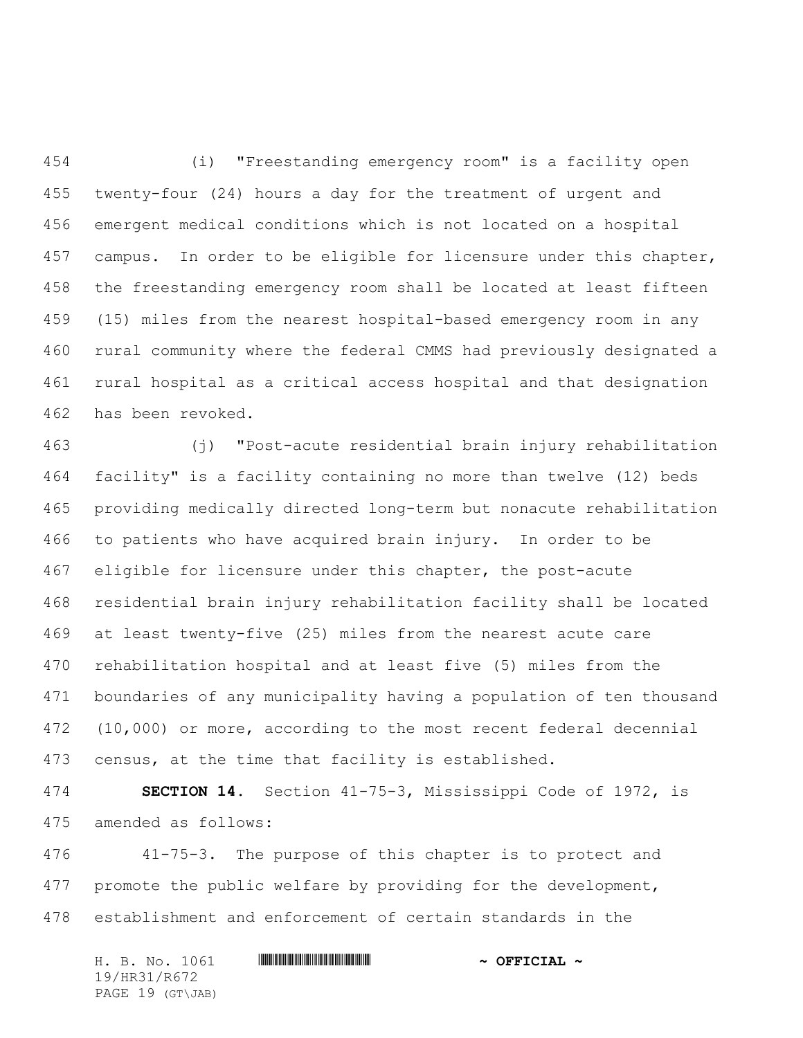(i) "Freestanding emergency room" is a facility open twenty-four (24) hours a day for the treatment of urgent and emergent medical conditions which is not located on a hospital 457 campus. In order to be eligible for licensure under this chapter, the freestanding emergency room shall be located at least fifteen (15) miles from the nearest hospital-based emergency room in any rural community where the federal CMMS had previously designated a rural hospital as a critical access hospital and that designation has been revoked.

 (j) "Post-acute residential brain injury rehabilitation facility" is a facility containing no more than twelve (12) beds providing medically directed long-term but nonacute rehabilitation to patients who have acquired brain injury. In order to be eligible for licensure under this chapter, the post-acute residential brain injury rehabilitation facility shall be located at least twenty-five (25) miles from the nearest acute care rehabilitation hospital and at least five (5) miles from the boundaries of any municipality having a population of ten thousand (10,000) or more, according to the most recent federal decennial census, at the time that facility is established.

 **SECTION 14.** Section 41-75-3, Mississippi Code of 1972, is amended as follows:

 41-75-3. The purpose of this chapter is to protect and promote the public welfare by providing for the development, establishment and enforcement of certain standards in the

H. B. No. 1061 \*HR31/R672\* **~ OFFICIAL ~** 19/HR31/R672 PAGE 19 (GT\JAB)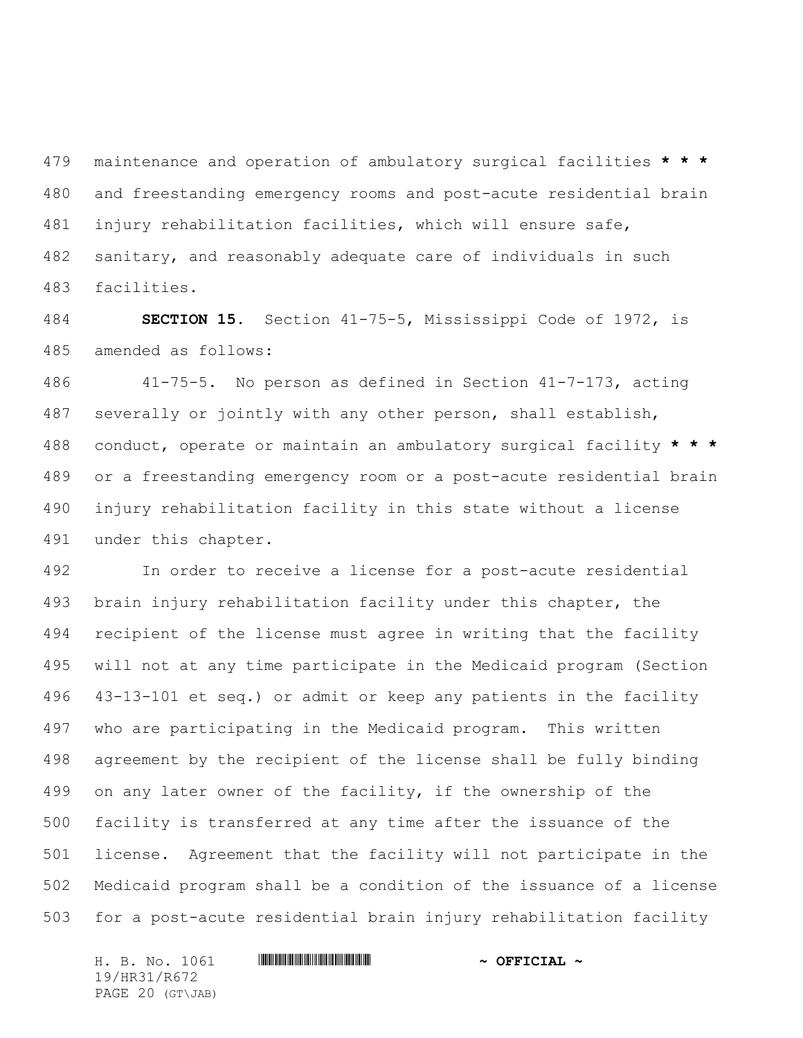maintenance and operation of ambulatory surgical facilities **\* \* \*** and freestanding emergency rooms and post-acute residential brain injury rehabilitation facilities, which will ensure safe, sanitary, and reasonably adequate care of individuals in such facilities.

 **SECTION 15.** Section 41-75-5, Mississippi Code of 1972, is amended as follows:

 41-75-5. No person as defined in Section 41-7-173, acting severally or jointly with any other person, shall establish, conduct, operate or maintain an ambulatory surgical facility **\* \* \*** or a freestanding emergency room or a post-acute residential brain injury rehabilitation facility in this state without a license under this chapter.

 In order to receive a license for a post-acute residential brain injury rehabilitation facility under this chapter, the recipient of the license must agree in writing that the facility will not at any time participate in the Medicaid program (Section 43-13-101 et seq.) or admit or keep any patients in the facility who are participating in the Medicaid program. This written agreement by the recipient of the license shall be fully binding on any later owner of the facility, if the ownership of the facility is transferred at any time after the issuance of the license. Agreement that the facility will not participate in the Medicaid program shall be a condition of the issuance of a license for a post-acute residential brain injury rehabilitation facility

19/HR31/R672 PAGE 20 (GT\JAB)

## H. B. No. 1061 **HR31/R67241 & OFFICIAL ~**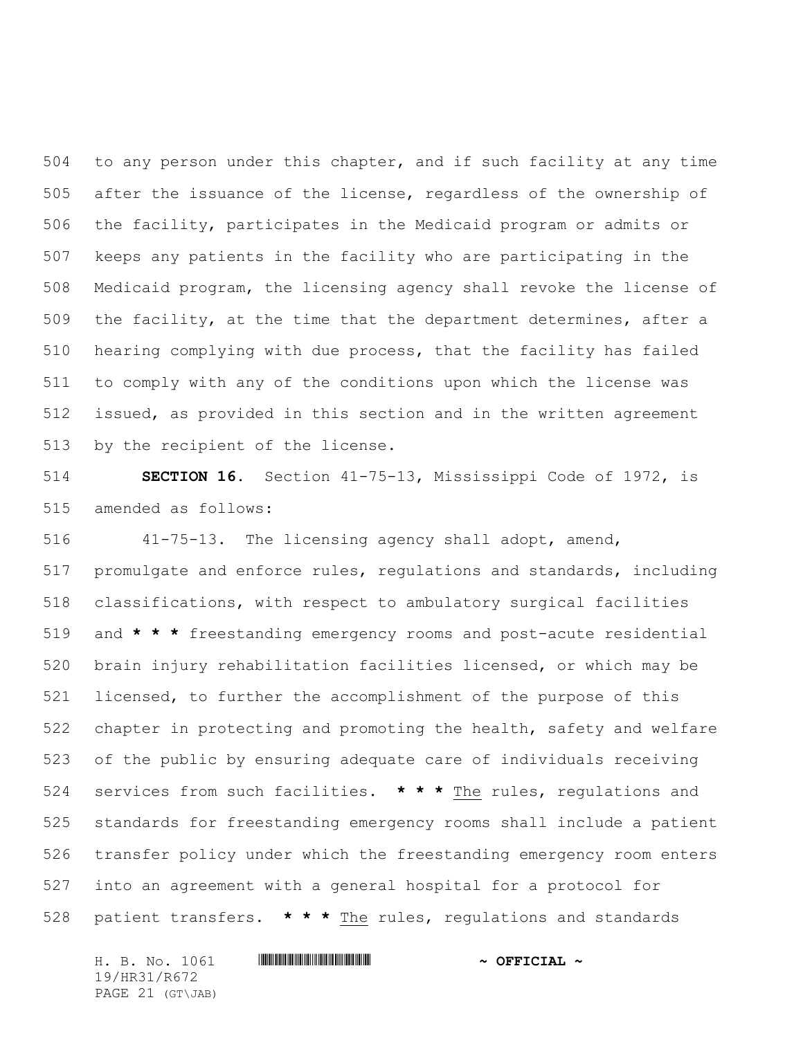to any person under this chapter, and if such facility at any time after the issuance of the license, regardless of the ownership of the facility, participates in the Medicaid program or admits or keeps any patients in the facility who are participating in the Medicaid program, the licensing agency shall revoke the license of the facility, at the time that the department determines, after a hearing complying with due process, that the facility has failed to comply with any of the conditions upon which the license was issued, as provided in this section and in the written agreement by the recipient of the license.

 **SECTION 16.** Section 41-75-13, Mississippi Code of 1972, is amended as follows:

 41-75-13. The licensing agency shall adopt, amend, promulgate and enforce rules, regulations and standards, including classifications, with respect to ambulatory surgical facilities and **\* \* \*** freestanding emergency rooms and post-acute residential brain injury rehabilitation facilities licensed, or which may be licensed, to further the accomplishment of the purpose of this chapter in protecting and promoting the health, safety and welfare of the public by ensuring adequate care of individuals receiving services from such facilities. **\* \* \*** The rules, regulations and standards for freestanding emergency rooms shall include a patient transfer policy under which the freestanding emergency room enters into an agreement with a general hospital for a protocol for patient transfers. **\* \* \*** The rules, regulations and standards

H. B. No. 1061 \*HR31/R672\* **~ OFFICIAL ~** 19/HR31/R672 PAGE 21 (GT\JAB)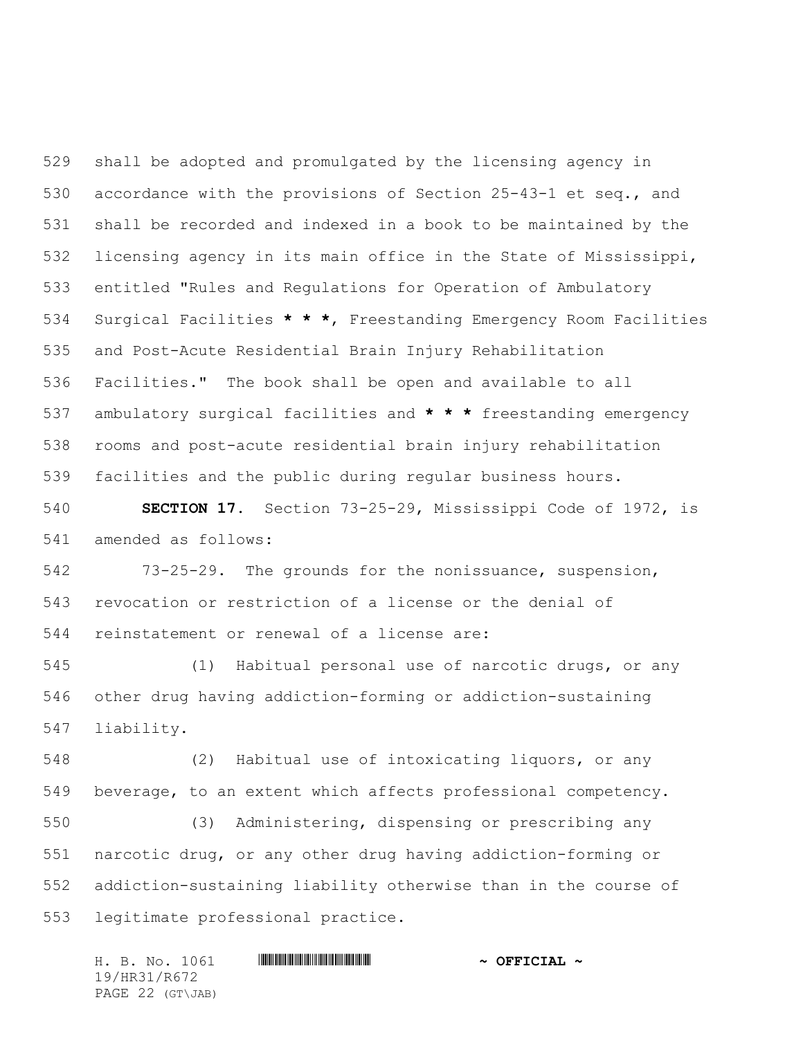shall be adopted and promulgated by the licensing agency in accordance with the provisions of Section 25-43-1 et seq., and shall be recorded and indexed in a book to be maintained by the licensing agency in its main office in the State of Mississippi, entitled "Rules and Regulations for Operation of Ambulatory Surgical Facilities **\* \* \***, Freestanding Emergency Room Facilities and Post-Acute Residential Brain Injury Rehabilitation Facilities." The book shall be open and available to all ambulatory surgical facilities and **\* \* \*** freestanding emergency rooms and post-acute residential brain injury rehabilitation facilities and the public during regular business hours.

 **SECTION 17.** Section 73-25-29, Mississippi Code of 1972, is amended as follows:

 73-25-29. The grounds for the nonissuance, suspension, revocation or restriction of a license or the denial of reinstatement or renewal of a license are:

 (1) Habitual personal use of narcotic drugs, or any other drug having addiction-forming or addiction-sustaining liability.

 (2) Habitual use of intoxicating liquors, or any beverage, to an extent which affects professional competency.

 (3) Administering, dispensing or prescribing any narcotic drug, or any other drug having addiction-forming or addiction-sustaining liability otherwise than in the course of legitimate professional practice.

H. B. No. 1061 \*HR31/R672\* **~ OFFICIAL ~** 19/HR31/R672 PAGE 22 (GT\JAB)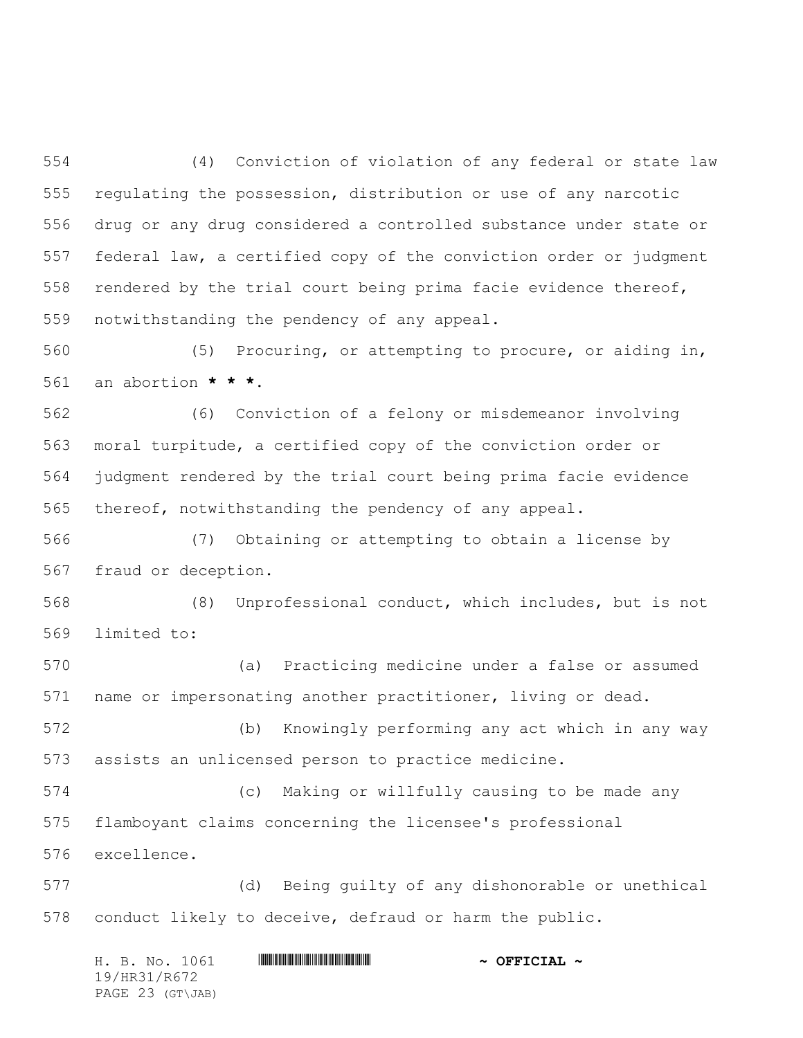(4) Conviction of violation of any federal or state law regulating the possession, distribution or use of any narcotic drug or any drug considered a controlled substance under state or federal law, a certified copy of the conviction order or judgment rendered by the trial court being prima facie evidence thereof, notwithstanding the pendency of any appeal.

 (5) Procuring, or attempting to procure, or aiding in, an abortion **\* \* \***.

 (6) Conviction of a felony or misdemeanor involving moral turpitude, a certified copy of the conviction order or judgment rendered by the trial court being prima facie evidence thereof, notwithstanding the pendency of any appeal.

 (7) Obtaining or attempting to obtain a license by fraud or deception.

 (8) Unprofessional conduct, which includes, but is not limited to:

 (a) Practicing medicine under a false or assumed name or impersonating another practitioner, living or dead.

 (b) Knowingly performing any act which in any way assists an unlicensed person to practice medicine.

 (c) Making or willfully causing to be made any flamboyant claims concerning the licensee's professional excellence.

 (d) Being guilty of any dishonorable or unethical conduct likely to deceive, defraud or harm the public.

|              |  | H. B. No. 1061   |  | $\sim$ OFFICIAL $\sim$ |  |
|--------------|--|------------------|--|------------------------|--|
| 19/HR31/R672 |  |                  |  |                        |  |
|              |  | PAGE 23 (GT\JAB) |  |                        |  |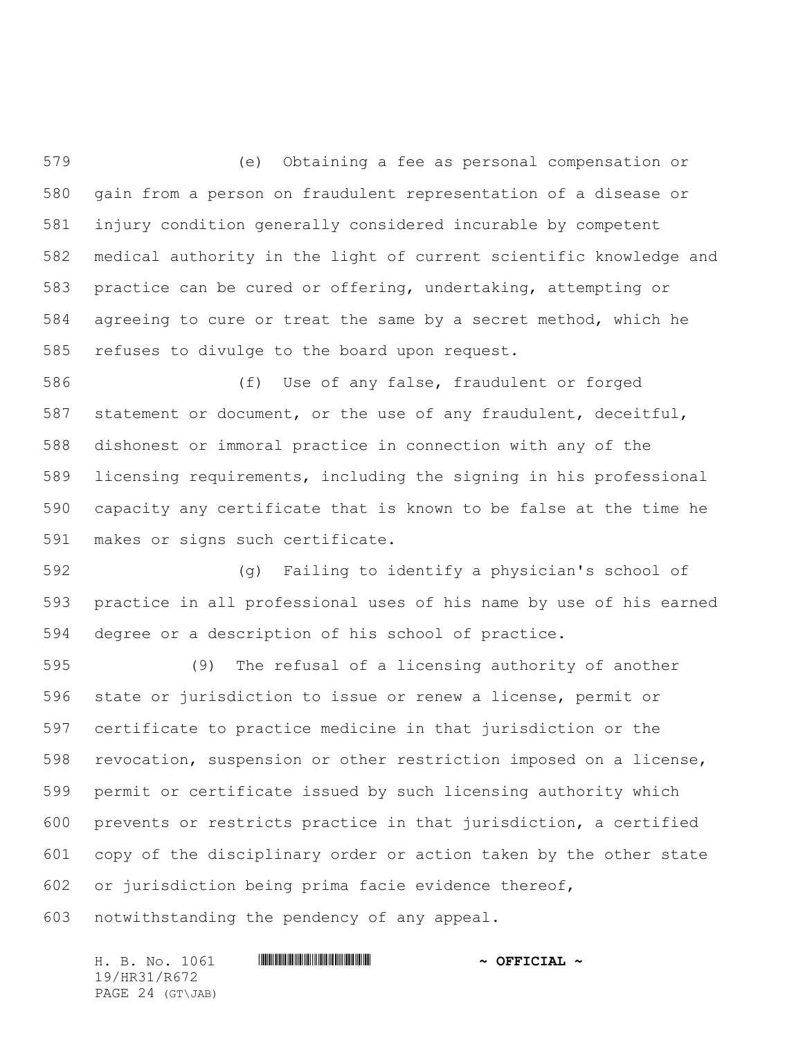(e) Obtaining a fee as personal compensation or gain from a person on fraudulent representation of a disease or injury condition generally considered incurable by competent medical authority in the light of current scientific knowledge and practice can be cured or offering, undertaking, attempting or agreeing to cure or treat the same by a secret method, which he refuses to divulge to the board upon request.

 (f) Use of any false, fraudulent or forged statement or document, or the use of any fraudulent, deceitful, dishonest or immoral practice in connection with any of the licensing requirements, including the signing in his professional capacity any certificate that is known to be false at the time he makes or signs such certificate.

 (g) Failing to identify a physician's school of practice in all professional uses of his name by use of his earned degree or a description of his school of practice.

 (9) The refusal of a licensing authority of another state or jurisdiction to issue or renew a license, permit or certificate to practice medicine in that jurisdiction or the revocation, suspension or other restriction imposed on a license, permit or certificate issued by such licensing authority which prevents or restricts practice in that jurisdiction, a certified copy of the disciplinary order or action taken by the other state or jurisdiction being prima facie evidence thereof, notwithstanding the pendency of any appeal.

H. B. No. 1061 **HR31/R67241 & OFFICIAL ~** 19/HR31/R672 PAGE 24 (GT\JAB)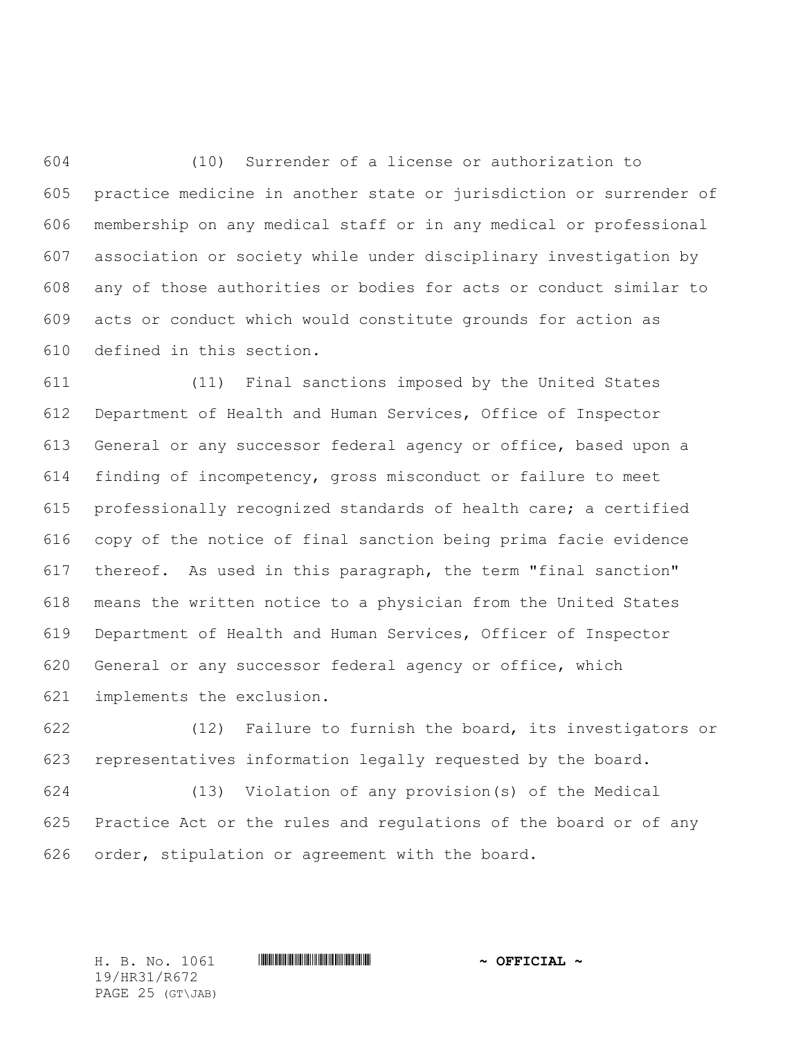(10) Surrender of a license or authorization to practice medicine in another state or jurisdiction or surrender of membership on any medical staff or in any medical or professional association or society while under disciplinary investigation by any of those authorities or bodies for acts or conduct similar to acts or conduct which would constitute grounds for action as defined in this section.

 (11) Final sanctions imposed by the United States Department of Health and Human Services, Office of Inspector General or any successor federal agency or office, based upon a finding of incompetency, gross misconduct or failure to meet professionally recognized standards of health care; a certified copy of the notice of final sanction being prima facie evidence thereof. As used in this paragraph, the term "final sanction" means the written notice to a physician from the United States Department of Health and Human Services, Officer of Inspector General or any successor federal agency or office, which implements the exclusion.

 (12) Failure to furnish the board, its investigators or representatives information legally requested by the board.

 (13) Violation of any provision(s) of the Medical Practice Act or the rules and regulations of the board or of any order, stipulation or agreement with the board.

19/HR31/R672 PAGE 25 (GT\JAB)

H. B. No. 1061 \*HR31/R672\* **~ OFFICIAL ~**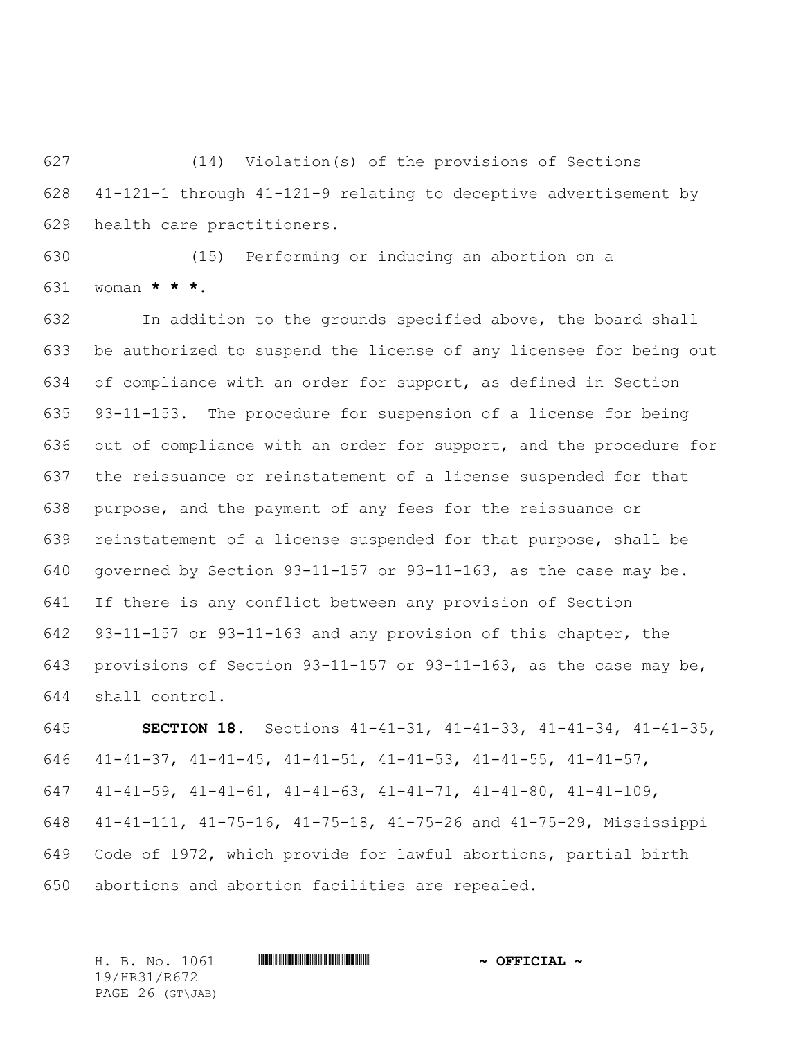(14) Violation(s) of the provisions of Sections 41-121-1 through 41-121-9 relating to deceptive advertisement by health care practitioners.

 (15) Performing or inducing an abortion on a woman **\* \* \***.

 In addition to the grounds specified above, the board shall be authorized to suspend the license of any licensee for being out of compliance with an order for support, as defined in Section 93-11-153. The procedure for suspension of a license for being out of compliance with an order for support, and the procedure for the reissuance or reinstatement of a license suspended for that purpose, and the payment of any fees for the reissuance or reinstatement of a license suspended for that purpose, shall be governed by Section 93-11-157 or 93-11-163, as the case may be. If there is any conflict between any provision of Section 93-11-157 or 93-11-163 and any provision of this chapter, the provisions of Section 93-11-157 or 93-11-163, as the case may be, shall control.

 **SECTION 18.** Sections 41-41-31, 41-41-33, 41-41-34, 41-41-35, 41-41-37, 41-41-45, 41-41-51, 41-41-53, 41-41-55, 41-41-57, 41-41-59, 41-41-61, 41-41-63, 41-41-71, 41-41-80, 41-41-109, 41-41-111, 41-75-16, 41-75-18, 41-75-26 and 41-75-29, Mississippi Code of 1972, which provide for lawful abortions, partial birth abortions and abortion facilities are repealed.

H. B. No. 1061 \*HR31/R672\* **~ OFFICIAL ~** 19/HR31/R672 PAGE 26 (GT\JAB)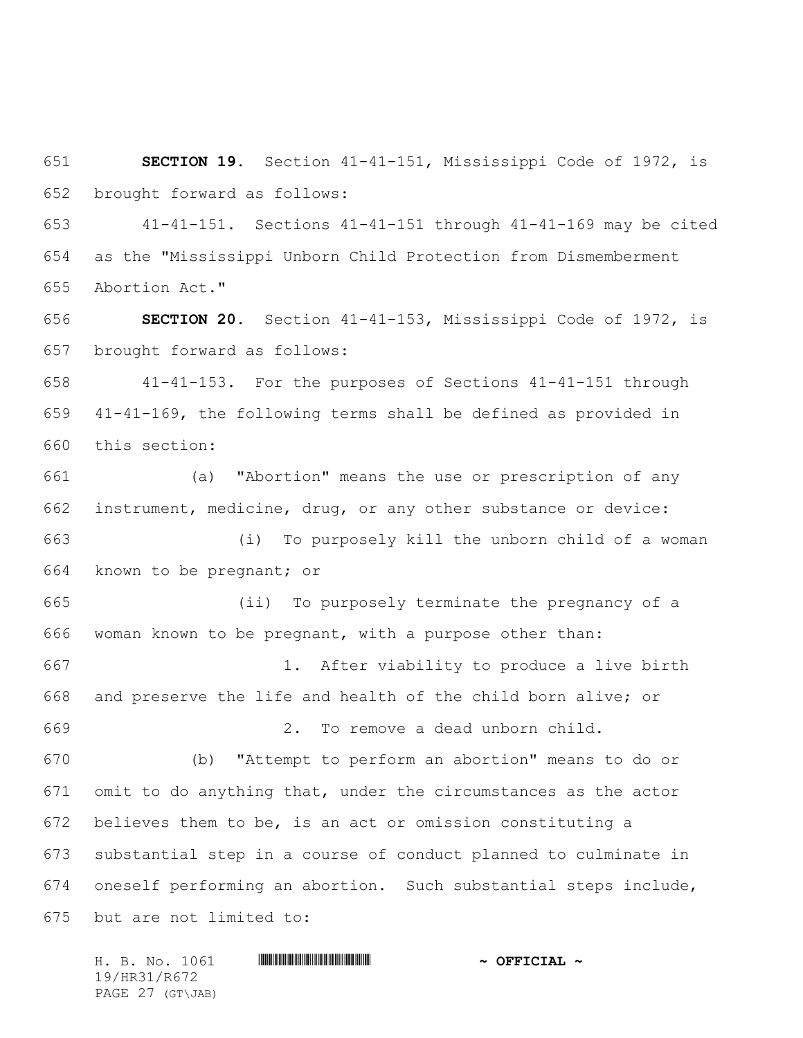**SECTION 19.** Section 41-41-151, Mississippi Code of 1972, is brought forward as follows:

 41-41-151. Sections 41-41-151 through 41-41-169 may be cited as the "Mississippi Unborn Child Protection from Dismemberment Abortion Act."

 **SECTION 20.** Section 41-41-153, Mississippi Code of 1972, is brought forward as follows:

 41-41-153. For the purposes of Sections 41-41-151 through 41-41-169, the following terms shall be defined as provided in this section:

 (a) "Abortion" means the use or prescription of any instrument, medicine, drug, or any other substance or device: (i) To purposely kill the unborn child of a woman known to be pregnant; or (ii) To purposely terminate the pregnancy of a woman known to be pregnant, with a purpose other than: 1. After viability to produce a live birth and preserve the life and health of the child born alive; or 2. To remove a dead unborn child. (b) "Attempt to perform an abortion" means to do or omit to do anything that, under the circumstances as the actor believes them to be, is an act or omission constituting a substantial step in a course of conduct planned to culminate in oneself performing an abortion. Such substantial steps include,

but are not limited to:

H. B. No. 1061 \*HR31/R672\* **~ OFFICIAL ~** 19/HR31/R672 PAGE 27 (GT\JAB)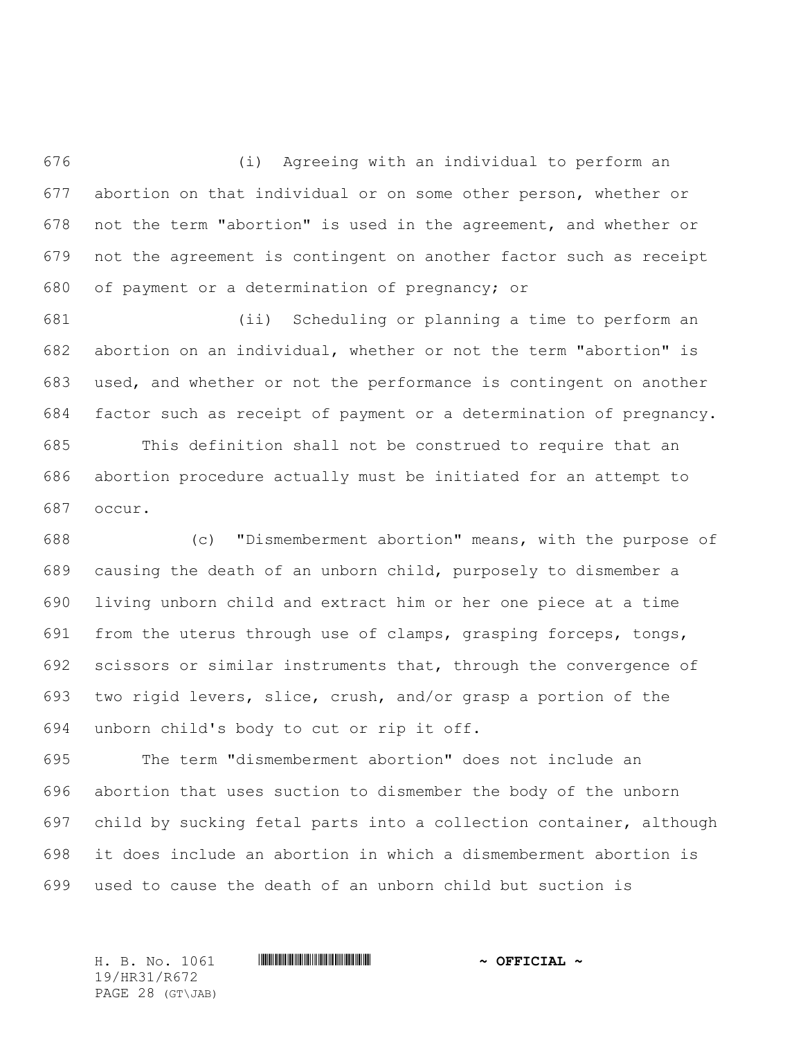(i) Agreeing with an individual to perform an abortion on that individual or on some other person, whether or not the term "abortion" is used in the agreement, and whether or not the agreement is contingent on another factor such as receipt of payment or a determination of pregnancy; or

 (ii) Scheduling or planning a time to perform an abortion on an individual, whether or not the term "abortion" is used, and whether or not the performance is contingent on another factor such as receipt of payment or a determination of pregnancy.

 This definition shall not be construed to require that an abortion procedure actually must be initiated for an attempt to occur.

 (c) "Dismemberment abortion" means, with the purpose of causing the death of an unborn child, purposely to dismember a living unborn child and extract him or her one piece at a time from the uterus through use of clamps, grasping forceps, tongs, scissors or similar instruments that, through the convergence of two rigid levers, slice, crush, and/or grasp a portion of the unborn child's body to cut or rip it off.

 The term "dismemberment abortion" does not include an abortion that uses suction to dismember the body of the unborn child by sucking fetal parts into a collection container, although it does include an abortion in which a dismemberment abortion is used to cause the death of an unborn child but suction is

19/HR31/R672 PAGE 28 (GT\JAB)

H. B. No. 1061 \*HR31/R672\* **~ OFFICIAL ~**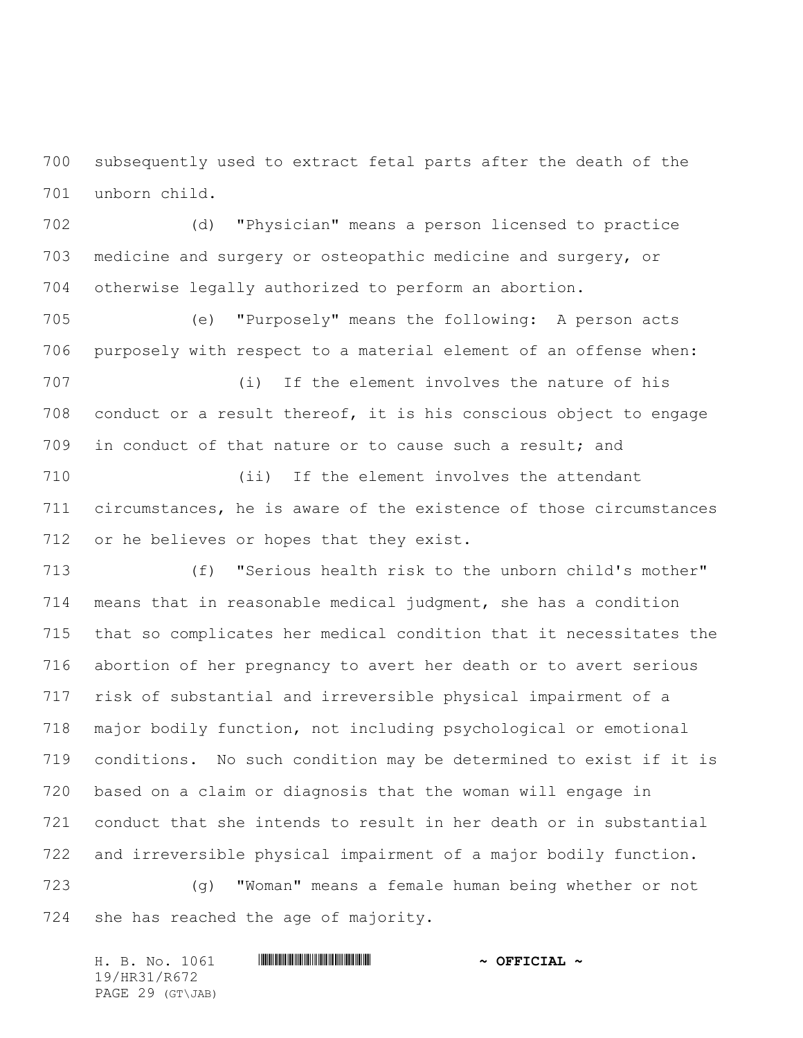subsequently used to extract fetal parts after the death of the unborn child.

 (d) "Physician" means a person licensed to practice medicine and surgery or osteopathic medicine and surgery, or otherwise legally authorized to perform an abortion.

 (e) "Purposely" means the following: A person acts purposely with respect to a material element of an offense when:

 (i) If the element involves the nature of his conduct or a result thereof, it is his conscious object to engage in conduct of that nature or to cause such a result; and

 (ii) If the element involves the attendant circumstances, he is aware of the existence of those circumstances or he believes or hopes that they exist.

 (f) "Serious health risk to the unborn child's mother" means that in reasonable medical judgment, she has a condition that so complicates her medical condition that it necessitates the abortion of her pregnancy to avert her death or to avert serious risk of substantial and irreversible physical impairment of a major bodily function, not including psychological or emotional conditions. No such condition may be determined to exist if it is based on a claim or diagnosis that the woman will engage in conduct that she intends to result in her death or in substantial and irreversible physical impairment of a major bodily function.

 (g) "Woman" means a female human being whether or not she has reached the age of majority.

H. B. No. 1061 **HR31/R67241 & OFFICIAL ~** 19/HR31/R672 PAGE 29 (GT\JAB)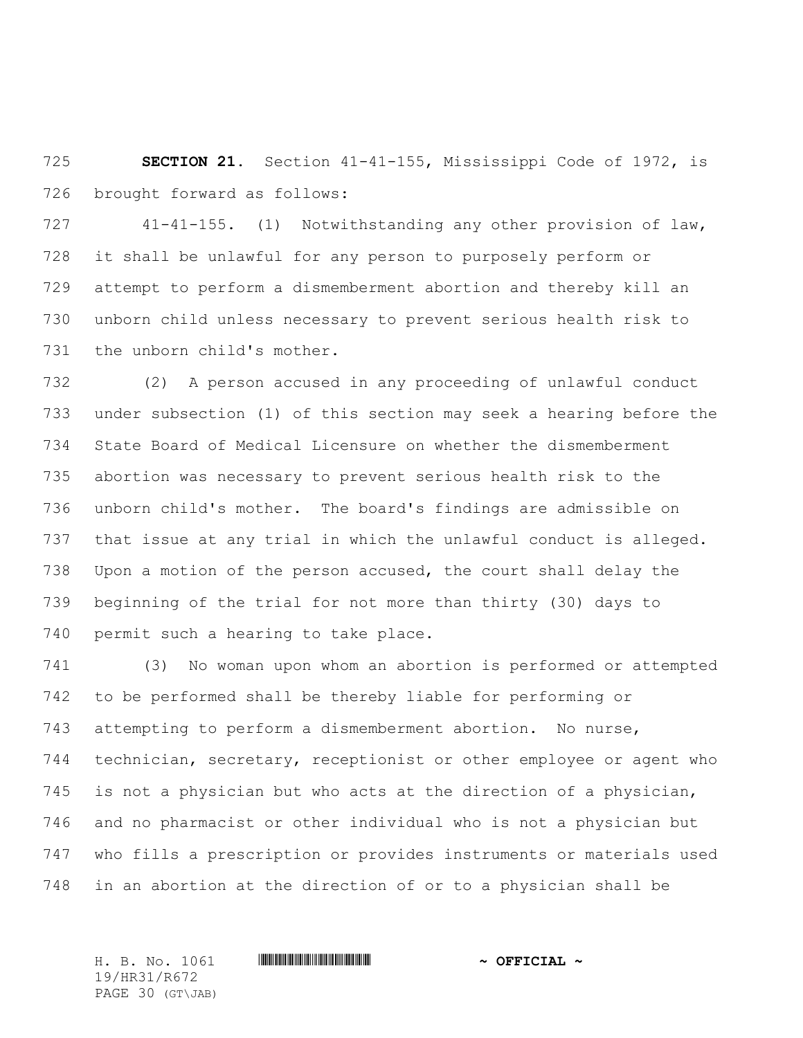**SECTION 21.** Section 41-41-155, Mississippi Code of 1972, is brought forward as follows:

 41-41-155. (1) Notwithstanding any other provision of law, it shall be unlawful for any person to purposely perform or attempt to perform a dismemberment abortion and thereby kill an unborn child unless necessary to prevent serious health risk to the unborn child's mother.

 (2) A person accused in any proceeding of unlawful conduct under subsection (1) of this section may seek a hearing before the State Board of Medical Licensure on whether the dismemberment abortion was necessary to prevent serious health risk to the unborn child's mother. The board's findings are admissible on that issue at any trial in which the unlawful conduct is alleged. Upon a motion of the person accused, the court shall delay the beginning of the trial for not more than thirty (30) days to permit such a hearing to take place.

 (3) No woman upon whom an abortion is performed or attempted to be performed shall be thereby liable for performing or attempting to perform a dismemberment abortion. No nurse, technician, secretary, receptionist or other employee or agent who is not a physician but who acts at the direction of a physician, and no pharmacist or other individual who is not a physician but who fills a prescription or provides instruments or materials used in an abortion at the direction of or to a physician shall be

H. B. No. 1061 \*HR31/R672\* **~ OFFICIAL ~** 19/HR31/R672 PAGE 30 (GT\JAB)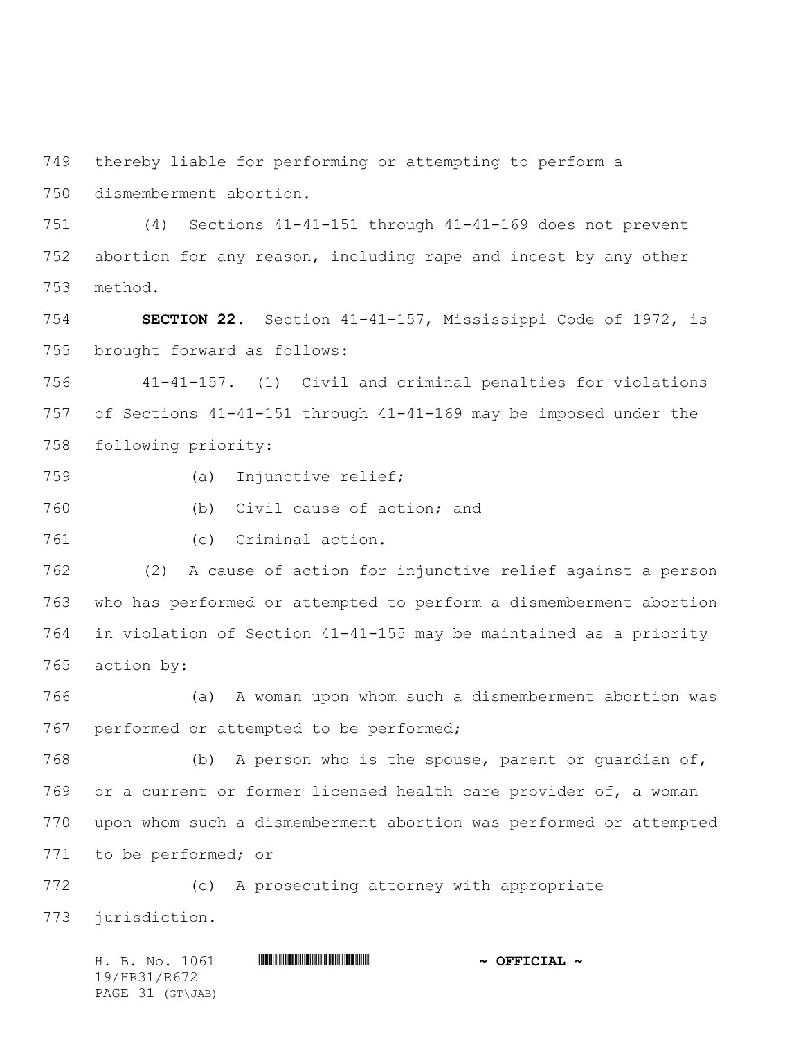thereby liable for performing or attempting to perform a

dismemberment abortion.

 (4) Sections 41-41-151 through 41-41-169 does not prevent abortion for any reason, including rape and incest by any other method.

 **SECTION 22.** Section 41-41-157, Mississippi Code of 1972, is brought forward as follows:

 41-41-157. (1) Civil and criminal penalties for violations of Sections 41-41-151 through 41-41-169 may be imposed under the following priority:

- (a) Injunctive relief;
- (b) Civil cause of action; and
- 

(c) Criminal action.

 (2) A cause of action for injunctive relief against a person who has performed or attempted to perform a dismemberment abortion in violation of Section 41-41-155 may be maintained as a priority action by:

 (a) A woman upon whom such a dismemberment abortion was performed or attempted to be performed;

 (b) A person who is the spouse, parent or guardian of, or a current or former licensed health care provider of, a woman upon whom such a dismemberment abortion was performed or attempted to be performed; or

 (c) A prosecuting attorney with appropriate jurisdiction.

H. B. No. 1061 \*HR31/R672\* **~ OFFICIAL ~** 19/HR31/R672 PAGE 31 (GT\JAB)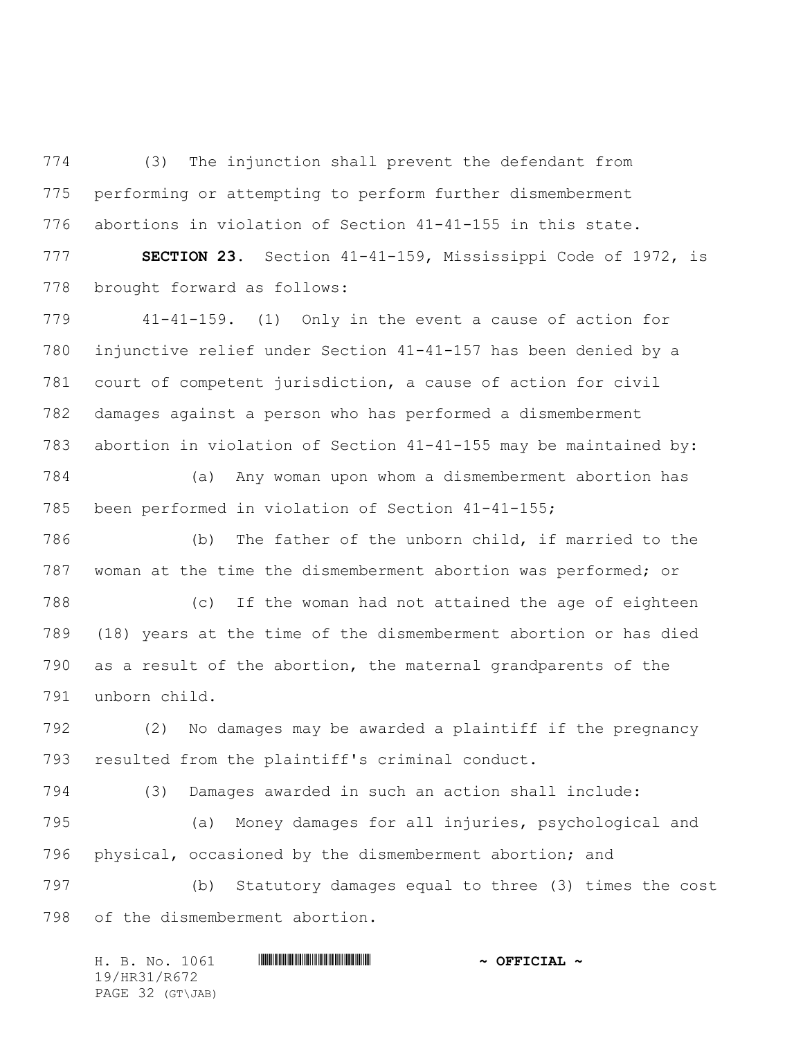(3) The injunction shall prevent the defendant from performing or attempting to perform further dismemberment abortions in violation of Section 41-41-155 in this state.

 **SECTION 23.** Section 41-41-159, Mississippi Code of 1972, is brought forward as follows:

 41-41-159. (1) Only in the event a cause of action for injunctive relief under Section 41-41-157 has been denied by a court of competent jurisdiction, a cause of action for civil damages against a person who has performed a dismemberment abortion in violation of Section 41-41-155 may be maintained by:

 (a) Any woman upon whom a dismemberment abortion has been performed in violation of Section 41-41-155;

 (b) The father of the unborn child, if married to the woman at the time the dismemberment abortion was performed; or

 (c) If the woman had not attained the age of eighteen (18) years at the time of the dismemberment abortion or has died as a result of the abortion, the maternal grandparents of the unborn child.

 (2) No damages may be awarded a plaintiff if the pregnancy resulted from the plaintiff's criminal conduct.

 (3) Damages awarded in such an action shall include: (a) Money damages for all injuries, psychological and physical, occasioned by the dismemberment abortion; and

 (b) Statutory damages equal to three (3) times the cost of the dismemberment abortion.

| H. B. No. 1061   | $\sim$ OFFICIAL $\sim$ |
|------------------|------------------------|
| 19/HR31/R672     |                        |
| PAGE 32 (GT\JAB) |                        |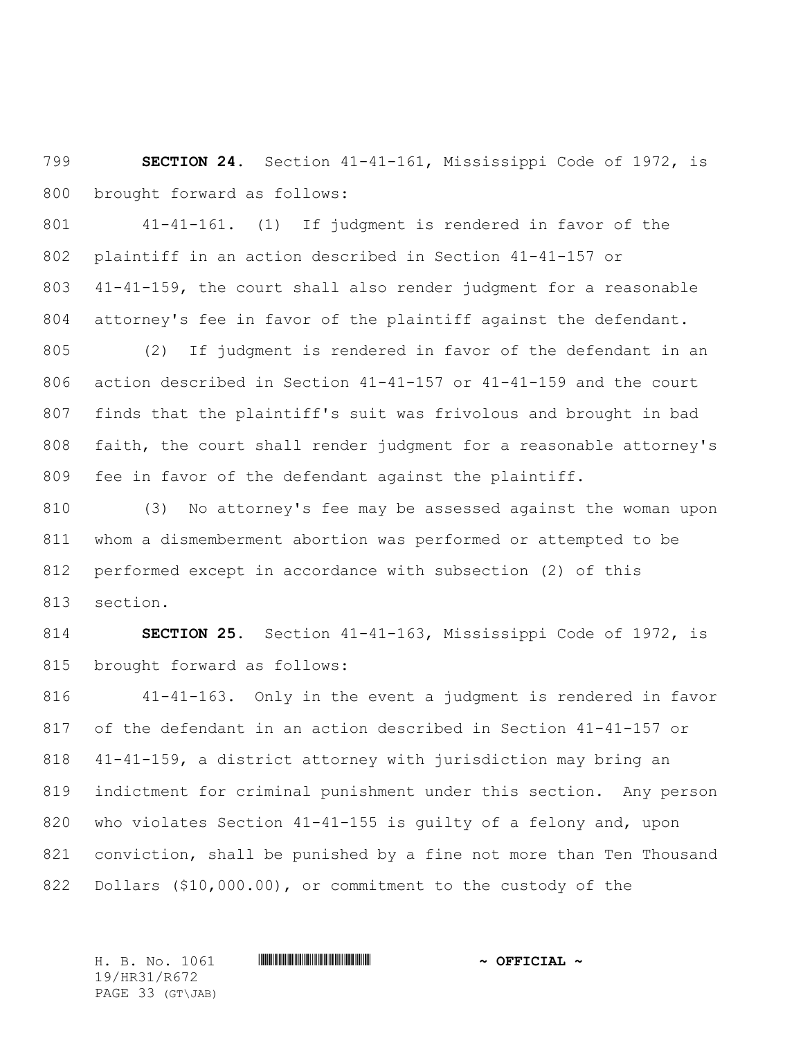**SECTION 24.** Section 41-41-161, Mississippi Code of 1972, is brought forward as follows:

 41-41-161. (1) If judgment is rendered in favor of the plaintiff in an action described in Section 41-41-157 or 41-41-159, the court shall also render judgment for a reasonable attorney's fee in favor of the plaintiff against the defendant.

 (2) If judgment is rendered in favor of the defendant in an action described in Section 41-41-157 or 41-41-159 and the court finds that the plaintiff's suit was frivolous and brought in bad faith, the court shall render judgment for a reasonable attorney's fee in favor of the defendant against the plaintiff.

 (3) No attorney's fee may be assessed against the woman upon whom a dismemberment abortion was performed or attempted to be performed except in accordance with subsection (2) of this section.

 **SECTION 25.** Section 41-41-163, Mississippi Code of 1972, is brought forward as follows:

 41-41-163. Only in the event a judgment is rendered in favor of the defendant in an action described in Section 41-41-157 or 41-41-159, a district attorney with jurisdiction may bring an indictment for criminal punishment under this section. Any person who violates Section 41-41-155 is guilty of a felony and, upon conviction, shall be punished by a fine not more than Ten Thousand Dollars (\$10,000.00), or commitment to the custody of the

19/HR31/R672 PAGE 33 (GT\JAB)

H. B. No. 1061 \*HR31/R672\* **~ OFFICIAL ~**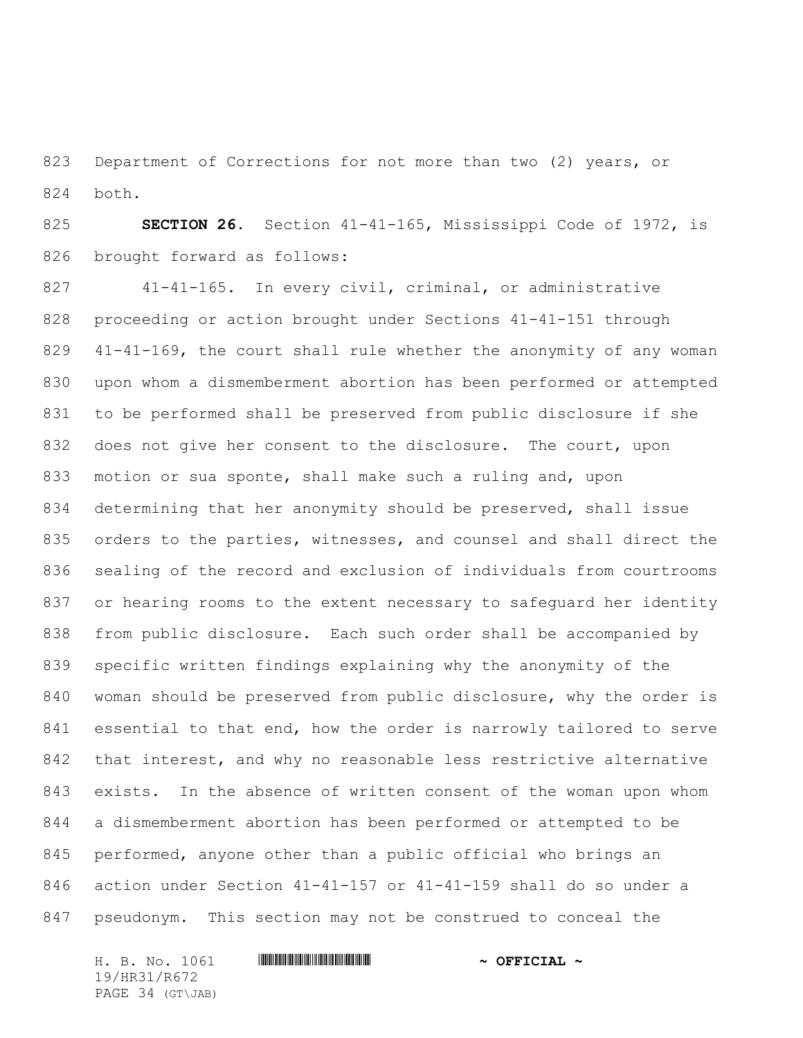Department of Corrections for not more than two (2) years, or both.

 **SECTION 26.** Section 41-41-165, Mississippi Code of 1972, is brought forward as follows:

 41-41-165. In every civil, criminal, or administrative proceeding or action brought under Sections 41-41-151 through 41-41-169, the court shall rule whether the anonymity of any woman upon whom a dismemberment abortion has been performed or attempted to be performed shall be preserved from public disclosure if she does not give her consent to the disclosure. The court, upon motion or sua sponte, shall make such a ruling and, upon determining that her anonymity should be preserved, shall issue 835 orders to the parties, witnesses, and counsel and shall direct the sealing of the record and exclusion of individuals from courtrooms or hearing rooms to the extent necessary to safeguard her identity from public disclosure. Each such order shall be accompanied by specific written findings explaining why the anonymity of the woman should be preserved from public disclosure, why the order is essential to that end, how the order is narrowly tailored to serve that interest, and why no reasonable less restrictive alternative exists. In the absence of written consent of the woman upon whom a dismemberment abortion has been performed or attempted to be performed, anyone other than a public official who brings an action under Section 41-41-157 or 41-41-159 shall do so under a pseudonym. This section may not be construed to conceal the

H. B. No. 1061 \*HR31/R672\* **~ OFFICIAL ~** 19/HR31/R672 PAGE 34 (GT\JAB)